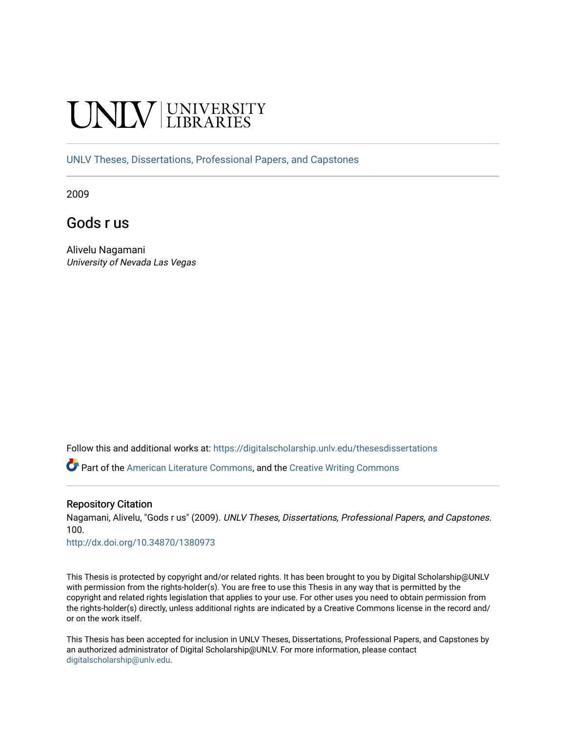# **INIVERSITY**

[UNLV Theses, Dissertations, Professional Papers, and Capstones](https://digitalscholarship.unlv.edu/thesesdissertations)

2009

Gods r us

Alivelu Nagamani University of Nevada Las Vegas

Follow this and additional works at: [https://digitalscholarship.unlv.edu/thesesdissertations](https://digitalscholarship.unlv.edu/thesesdissertations?utm_source=digitalscholarship.unlv.edu%2Fthesesdissertations%2F100&utm_medium=PDF&utm_campaign=PDFCoverPages)

Part of the [American Literature Commons](http://network.bepress.com/hgg/discipline/441?utm_source=digitalscholarship.unlv.edu%2Fthesesdissertations%2F100&utm_medium=PDF&utm_campaign=PDFCoverPages), and the [Creative Writing Commons](http://network.bepress.com/hgg/discipline/574?utm_source=digitalscholarship.unlv.edu%2Fthesesdissertations%2F100&utm_medium=PDF&utm_campaign=PDFCoverPages)

#### Repository Citation

Nagamani, Alivelu, "Gods r us" (2009). UNLV Theses, Dissertations, Professional Papers, and Capstones. 100.

<http://dx.doi.org/10.34870/1380973>

This Thesis is protected by copyright and/or related rights. It has been brought to you by Digital Scholarship@UNLV with permission from the rights-holder(s). You are free to use this Thesis in any way that is permitted by the copyright and related rights legislation that applies to your use. For other uses you need to obtain permission from the rights-holder(s) directly, unless additional rights are indicated by a Creative Commons license in the record and/ or on the work itself.

This Thesis has been accepted for inclusion in UNLV Theses, Dissertations, Professional Papers, and Capstones by an authorized administrator of Digital Scholarship@UNLV. For more information, please contact [digitalscholarship@unlv.edu](mailto:digitalscholarship@unlv.edu).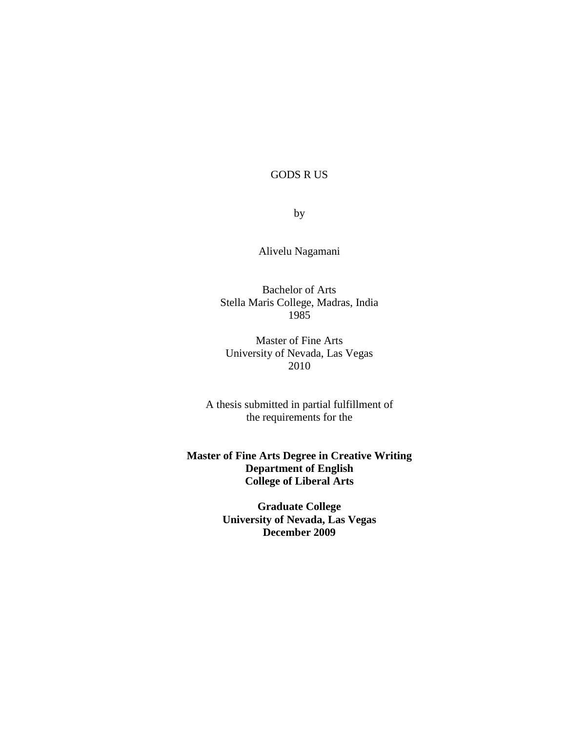GODS R US

by

Alivelu Nagamani

Bachelor of Arts Stella Maris College, Madras, India 1985

Master of Fine Arts University of Nevada, Las Vegas 2010

A thesis submitted in partial fulfillment of the requirements for the

**Master of Fine Arts Degree in Creative Writing Department of English College of Liberal Arts**

> **Graduate College University of Nevada, Las Vegas December 2009**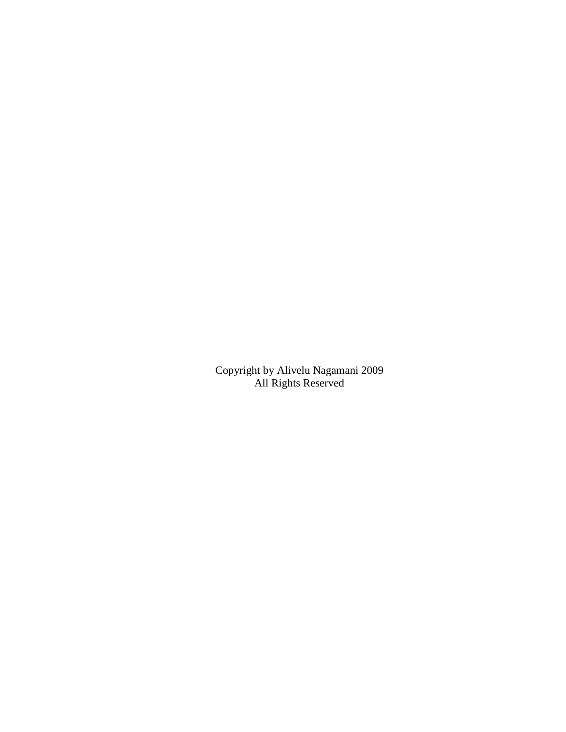Copyright by Alivelu Nagamani 2009 All Rights Reserved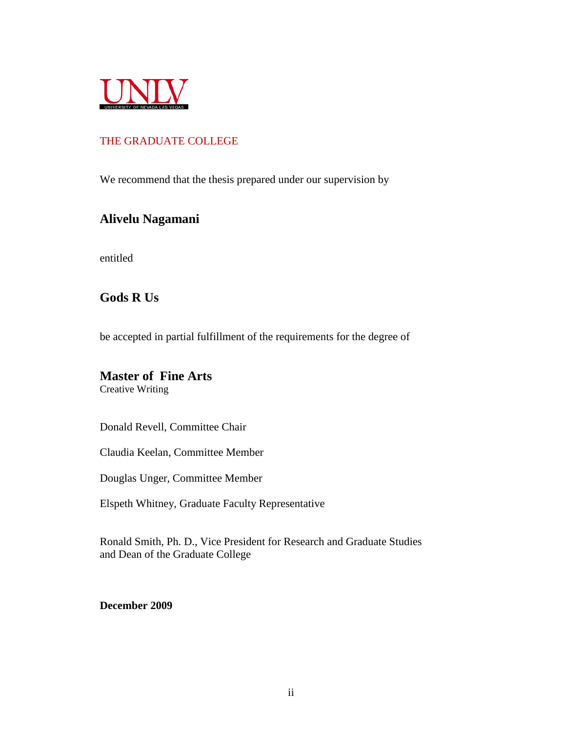<span id="page-3-0"></span>

# THE GRADUATE COLLEGE

We recommend that the thesis prepared under our supervision by

# **Alivelu Nagamani**

entitled

# **Gods R Us**

be accepted in partial fulfillment of the requirements for the degree of

# **Master of Fine Arts**

Creative Writing

Donald Revell, Committee Chair

Claudia Keelan, Committee Member

Douglas Unger, Committee Member

Elspeth Whitney, Graduate Faculty Representative

Ronald Smith, Ph. D., Vice President for Research and Graduate Studies and Dean of the Graduate College

**December 2009**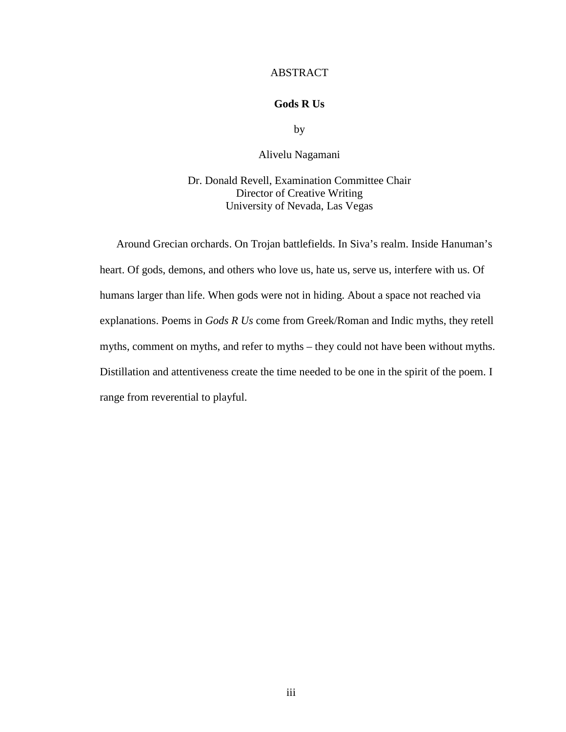#### ABSTRACT

#### **Gods R Us**

by

Alivelu Nagamani

Dr. Donald Revell, Examination Committee Chair Director of Creative Writing University of Nevada, Las Vegas

Around Grecian orchards. On Trojan battlefields. In Siva's realm. Inside Hanuman's heart. Of gods, demons, and others who love us, hate us, serve us, interfere with us. Of humans larger than life. When gods were not in hiding. About a space not reached via explanations. Poems in *Gods R Us* come from Greek/Roman and Indic myths, they retell myths, comment on myths, and refer to myths – they could not have been without myths. Distillation and attentiveness create the time needed to be one in the spirit of the poem. I range from reverential to playful.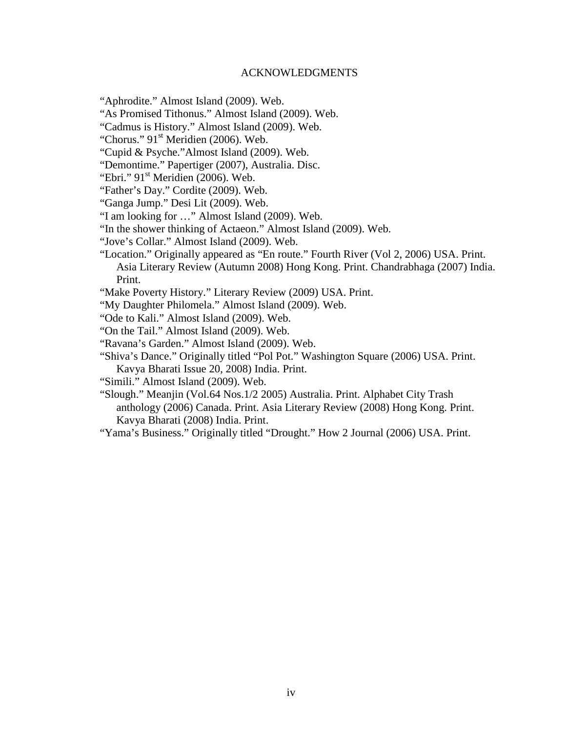#### ACKNOWLEDGMENTS

<span id="page-5-0"></span>"Aphrodite." Almost Island (2009). Web.

"As Promised Tithonus." Almost Island (2009). Web.

"Cadmus is History." Almost Island (2009). Web.

"Chorus."  $91^{\text{st}}$  Meridien (2006). Web.

"Cupid & Psyche."Almost Island (2009). Web.

"Demontime." Papertiger (2007), Australia. Disc.

"Ebri."  $91^{\text{st}}$  Meridien (2006). Web.

"Father's Day." Cordite (2009). Web.

"Ganga Jump." Desi Lit (2009). Web.

"I am looking for …" Almost Island (2009). Web.

"In the shower thinking of Actaeon." Almost Island (2009). Web.

"Jove's Collar." Almost Island (2009). Web.

"Location." Originally appeared as "En route." Fourth River (Vol 2, 2006) USA. Print. Asia Literary Review (Autumn 2008) Hong Kong. Print. Chandrabhaga (2007) India. Print.

"Make Poverty History." Literary Review (2009) USA. Print.

"My Daughter Philomela." Almost Island (2009). Web.

"Ode to Kali." Almost Island (2009). Web.

"On the Tail." Almost Island (2009). Web.

"Ravana's Garden." Almost Island (2009). Web.

"Shiva's Dance." Originally titled "Pol Pot." Washington Square (2006) USA. Print. Kavya Bharati Issue 20, 2008) India. Print.

"Simili." Almost Island (2009). Web.

"Slough." Meanjin (Vol.64 Nos.1/2 2005) Australia. Print. Alphabet City Trash anthology (2006) Canada. Print. Asia Literary Review (2008) Hong Kong. Print. Kavya Bharati (2008) India. Print.

"Yama's Business." Originally titled "Drought." How 2 Journal (2006) USA. Print.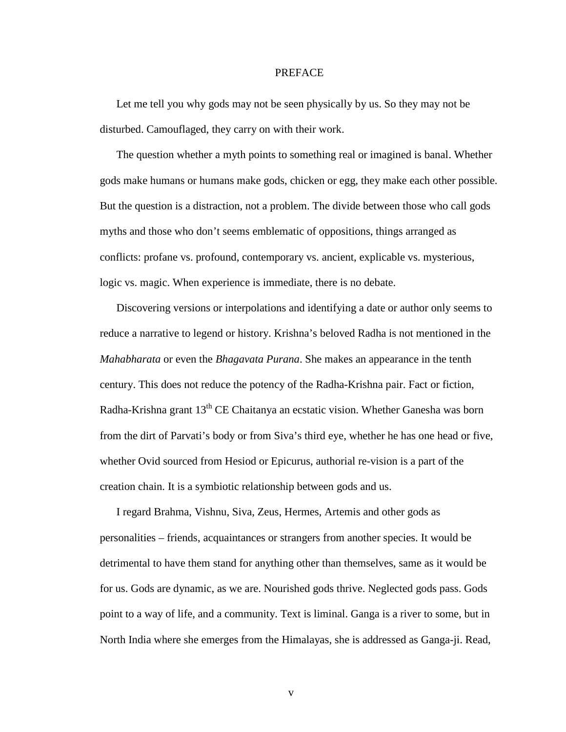#### PREFACE

<span id="page-6-0"></span>Let me tell you why gods may not be seen physically by us. So they may not be disturbed. Camouflaged, they carry on with their work.

The question whether a myth points to something real or imagined is banal. Whether gods make humans or humans make gods, chicken or egg, they make each other possible. But the question is a distraction, not a problem. The divide between those who call gods myths and those who don't seems emblematic of oppositions, things arranged as conflicts: profane vs. profound, contemporary vs. ancient, explicable vs. mysterious, logic vs. magic. When experience is immediate, there is no debate.

Discovering versions or interpolations and identifying a date or author only seems to reduce a narrative to legend or history. Krishna's beloved Radha is not mentioned in the *Mahabharata* or even the *Bhagavata Purana*. She makes an appearance in the tenth century. This does not reduce the potency of the Radha-Krishna pair. Fact or fiction, Radha-Krishna grant 13<sup>th</sup> CE Chaitanya an ecstatic vision. Whether Ganesha was born from the dirt of Parvati's body or from Siva's third eye, whether he has one head or five, whether Ovid sourced from Hesiod or Epicurus, authorial re-vision is a part of the creation chain. It is a symbiotic relationship between gods and us.

I regard Brahma, Vishnu, Siva, Zeus, Hermes, Artemis and other gods as personalities – friends, acquaintances or strangers from another species. It would be detrimental to have them stand for anything other than themselves, same as it would be for us. Gods are dynamic, as we are. Nourished gods thrive. Neglected gods pass. Gods point to a way of life, and a community. Text is liminal. Ganga is a river to some, but in North India where she emerges from the Himalayas, she is addressed as Ganga-ji. Read,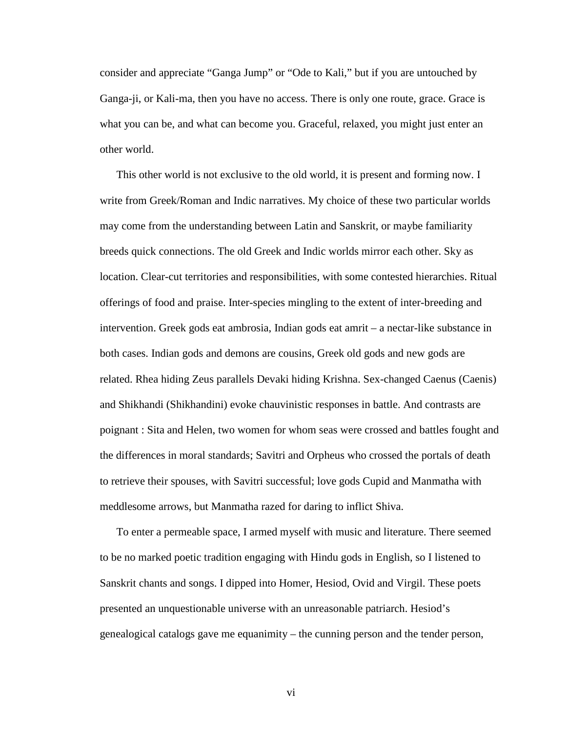consider and appreciate "Ganga Jump" or "Ode to Kali," but if you are untouched by Ganga-ji, or Kali-ma, then you have no access. There is only one route, grace. Grace is what you can be, and what can become you. Graceful, relaxed, you might just enter an other world.

This other world is not exclusive to the old world, it is present and forming now. I write from Greek/Roman and Indic narratives. My choice of these two particular worlds may come from the understanding between Latin and Sanskrit, or maybe familiarity breeds quick connections. The old Greek and Indic worlds mirror each other. Sky as location. Clear-cut territories and responsibilities, with some contested hierarchies. Ritual offerings of food and praise. Inter-species mingling to the extent of inter-breeding and intervention. Greek gods eat ambrosia, Indian gods eat amrit – a nectar-like substance in both cases. Indian gods and demons are cousins, Greek old gods and new gods are related. Rhea hiding Zeus parallels Devaki hiding Krishna. Sex-changed Caenus (Caenis) and Shikhandi (Shikhandini) evoke chauvinistic responses in battle. And contrasts are poignant : Sita and Helen, two women for whom seas were crossed and battles fought and the differences in moral standards; Savitri and Orpheus who crossed the portals of death to retrieve their spouses, with Savitri successful; love gods Cupid and Manmatha with meddlesome arrows, but Manmatha razed for daring to inflict Shiva.

To enter a permeable space, I armed myself with music and literature. There seemed to be no marked poetic tradition engaging with Hindu gods in English, so I listened to Sanskrit chants and songs. I dipped into Homer, Hesiod, Ovid and Virgil. These poets presented an unquestionable universe with an unreasonable patriarch. Hesiod's genealogical catalogs gave me equanimity – the cunning person and the tender person,

vi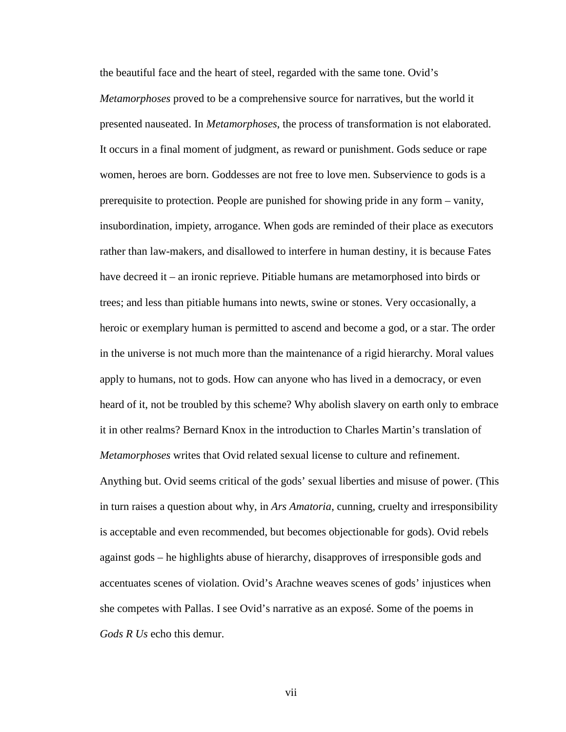the beautiful face and the heart of steel, regarded with the same tone. Ovid's *Metamorphoses* proved to be a comprehensive source for narratives, but the world it presented nauseated. In *Metamorphoses*, the process of transformation is not elaborated. It occurs in a final moment of judgment, as reward or punishment. Gods seduce or rape women, heroes are born. Goddesses are not free to love men. Subservience to gods is a prerequisite to protection. People are punished for showing pride in any form – vanity, insubordination, impiety, arrogance. When gods are reminded of their place as executors rather than law-makers, and disallowed to interfere in human destiny, it is because Fates have decreed it – an ironic reprieve. Pitiable humans are metamorphosed into birds or trees; and less than pitiable humans into newts, swine or stones. Very occasionally, a heroic or exemplary human is permitted to ascend and become a god, or a star. The order in the universe is not much more than the maintenance of a rigid hierarchy. Moral values apply to humans, not to gods. How can anyone who has lived in a democracy, or even heard of it, not be troubled by this scheme? Why abolish slavery on earth only to embrace it in other realms? Bernard Knox in the introduction to Charles Martin's translation of *Metamorphoses* writes that Ovid related sexual license to culture and refinement. Anything but. Ovid seems critical of the gods' sexual liberties and misuse of power. (This in turn raises a question about why, in *Ars Amatoria*, cunning, cruelty and irresponsibility is acceptable and even recommended, but becomes objectionable for gods). Ovid rebels against gods – he highlights abuse of hierarchy, disapproves of irresponsible gods and accentuates scenes of violation. Ovid's Arachne weaves scenes of gods' injustices when she competes with Pallas. I see Ovid's narrative as an exposé. Some of the poems in *Gods R Us* echo this demur.

vii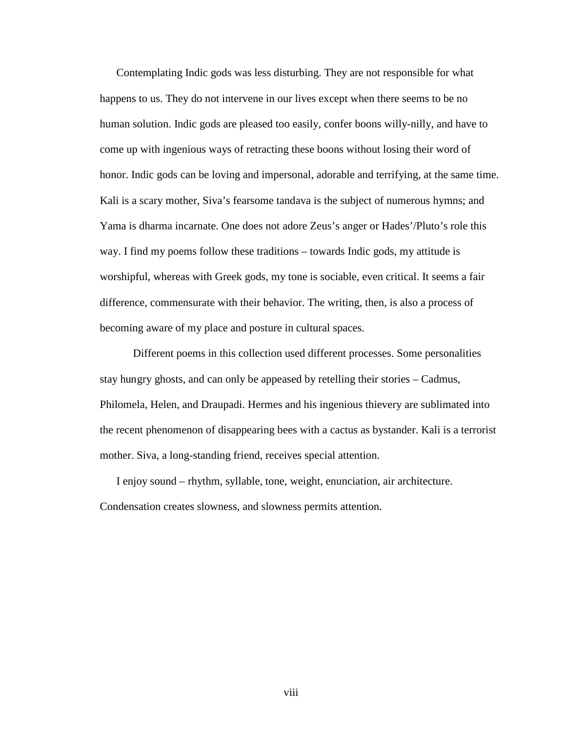Contemplating Indic gods was less disturbing. They are not responsible for what happens to us. They do not intervene in our lives except when there seems to be no human solution. Indic gods are pleased too easily, confer boons willy-nilly, and have to come up with ingenious ways of retracting these boons without losing their word of honor. Indic gods can be loving and impersonal, adorable and terrifying, at the same time. Kali is a scary mother, Siva's fearsome tandava is the subject of numerous hymns; and Yama is dharma incarnate. One does not adore Zeus's anger or Hades'/Pluto's role this way. I find my poems follow these traditions – towards Indic gods, my attitude is worshipful, whereas with Greek gods, my tone is sociable, even critical. It seems a fair difference, commensurate with their behavior. The writing, then, is also a process of becoming aware of my place and posture in cultural spaces.

Different poems in this collection used different processes. Some personalities stay hungry ghosts, and can only be appeased by retelling their stories – Cadmus, Philomela, Helen, and Draupadi. Hermes and his ingenious thievery are sublimated into the recent phenomenon of disappearing bees with a cactus as bystander. Kali is a terrorist mother. Siva, a long-standing friend, receives special attention.

I enjoy sound – rhythm, syllable, tone, weight, enunciation, air architecture. Condensation creates slowness, and slowness permits attention.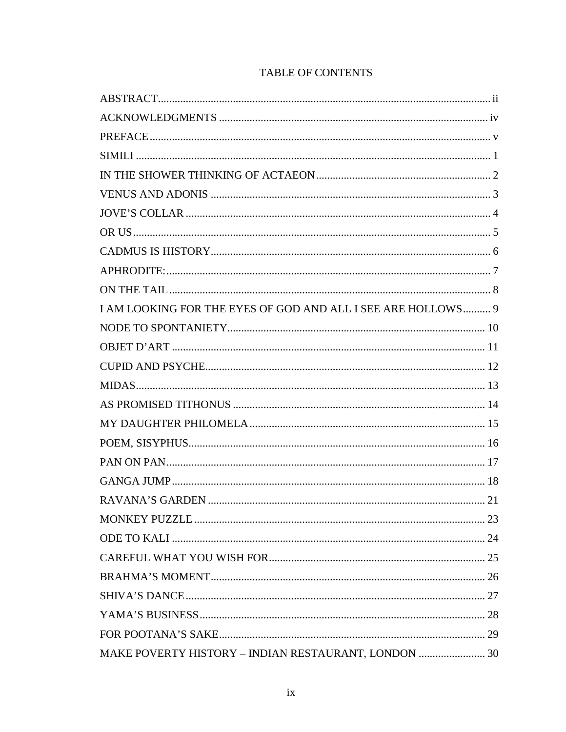| I AM LOOKING FOR THE EYES OF GOD AND ALL I SEE ARE HOLLOWS 9 |  |
|--------------------------------------------------------------|--|
|                                                              |  |
|                                                              |  |
|                                                              |  |
|                                                              |  |
|                                                              |  |
|                                                              |  |
|                                                              |  |
|                                                              |  |
|                                                              |  |
|                                                              |  |
|                                                              |  |
|                                                              |  |
|                                                              |  |
|                                                              |  |
|                                                              |  |
|                                                              |  |
|                                                              |  |
| MAKE POVERTY HISTORY - INDIAN RESTAURANT, LONDON  30         |  |

# **TABLE OF CONTENTS**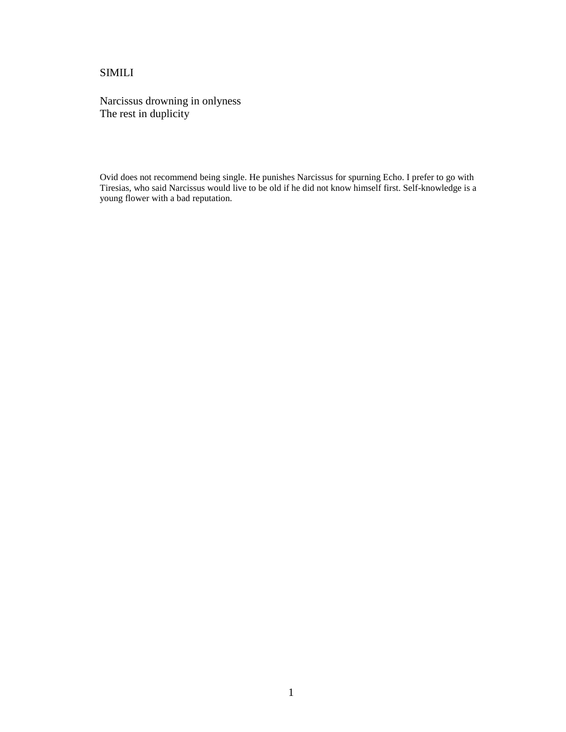## <span id="page-12-0"></span>SIMILI

Narcissus drowning in onlyness The rest in duplicity

Ovid does not recommend being single. He punishes Narcissus for spurning Echo. I prefer to go with Tiresias, who said Narcissus would live to be old if he did not know himself first. Self-knowledge is a young flower with a bad reputation.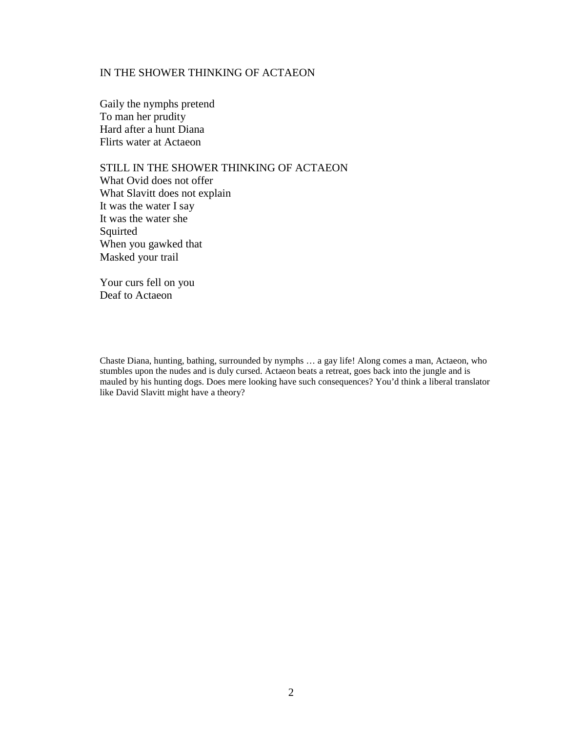## <span id="page-13-0"></span>IN THE SHOWER THINKING OF ACTAEON

Gaily the nymphs pretend To man her prudity Hard after a hunt Diana Flirts water at Actaeon

STILL IN THE SHOWER THINKING OF ACTAEON What Ovid does not offer What Slavitt does not explain It was the water I say It was the water she Squirted When you gawked that Masked your trail

Your curs fell on you Deaf to Actaeon

Chaste Diana, hunting, bathing, surrounded by nymphs … a gay life! Along comes a man, Actaeon, who stumbles upon the nudes and is duly cursed. Actaeon beats a retreat, goes back into the jungle and is mauled by his hunting dogs. Does mere looking have such consequences? You'd think a liberal translator like David Slavitt might have a theory?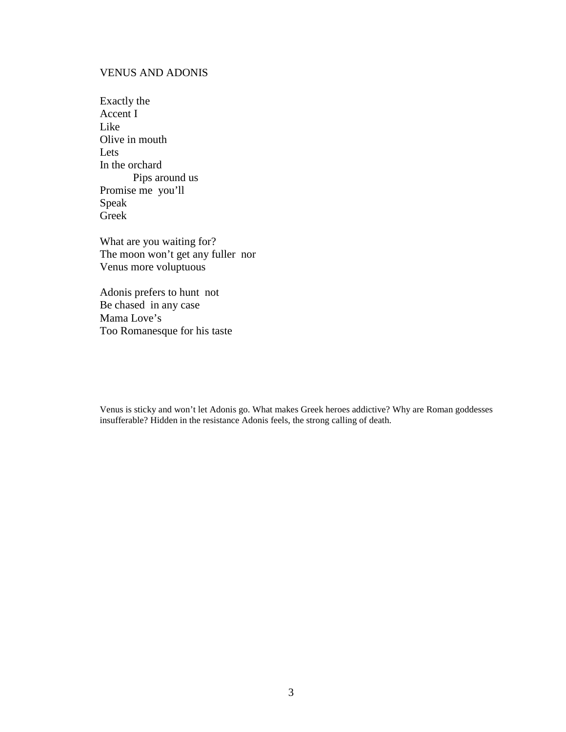## <span id="page-14-0"></span>VENUS AND ADONIS

| Exactly the       |
|-------------------|
| Accent I          |
| Like              |
| Olive in mouth    |
| Lets              |
| In the orchard    |
| Pips around us    |
| Promise me you'll |
| Speak             |
| Greek             |

What are you waiting for? The moon won't get any fuller nor Venus more voluptuous

Adonis prefers to hunt not Be chased in any case Mama Love's Too Romanesque for his taste

Venus is sticky and won't let Adonis go. What makes Greek heroes addictive? Why are Roman goddesses insufferable? Hidden in the resistance Adonis feels, the strong calling of death.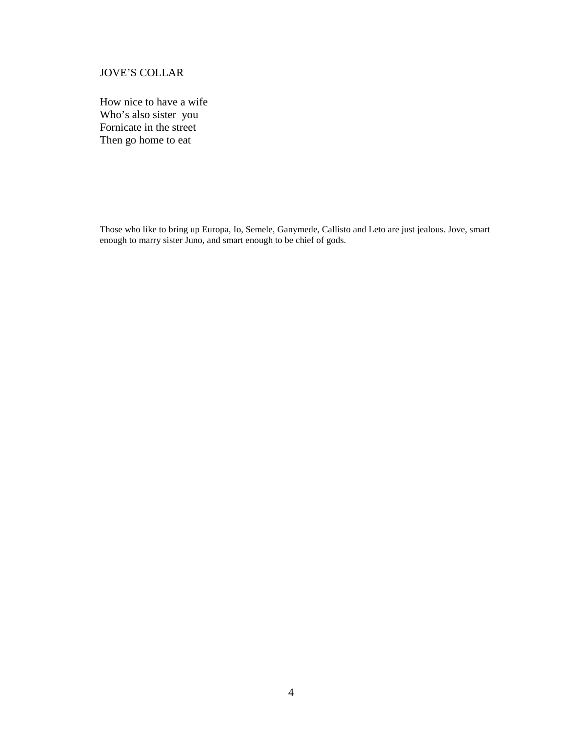# <span id="page-15-0"></span>JOVE'S COLLAR

How nice to have a wife Who's also sister you Fornicate in the street Then go home to eat

Those who like to bring up Europa, Io, Semele, Ganymede, Callisto and Leto are just jealous. Jove, smart enough to marry sister Juno, and smart enough to be chief of gods.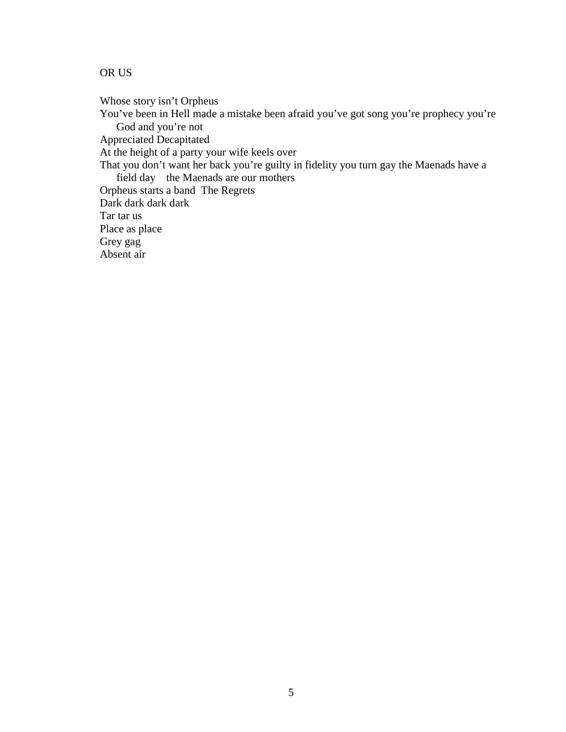# <span id="page-16-0"></span>OR US

Whose story isn't Orpheus

You've been in Hell made a mistake been afraid you've got song you're prophecy you're God and you're not

Appreciated Decapitated

At the height of a party your wife keels over

That you don't want her back you're guilty in fidelity you turn gay the Maenads have a field day the Maenads are our mothers

Orpheus starts a band The Regrets

Dark dark dark dark

Tar tar us

Place as place

Grey gag

Absent air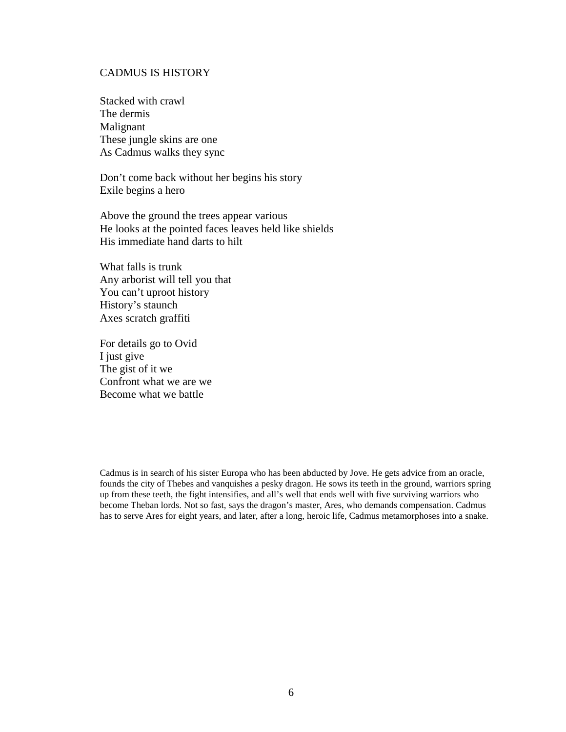#### <span id="page-17-0"></span>CADMUS IS HISTORY

Stacked with crawl The dermis Malignant These jungle skins are one As Cadmus walks they sync

Don't come back without her begins his story Exile begins a hero

Above the ground the trees appear various He looks at the pointed faces leaves held like shields His immediate hand darts to hilt

What falls is trunk Any arborist will tell you that You can't uproot history History's staunch Axes scratch graffiti

For details go to Ovid I just give The gist of it we Confront what we are we Become what we battle

Cadmus is in search of his sister Europa who has been abducted by Jove. He gets advice from an oracle, founds the city of Thebes and vanquishes a pesky dragon. He sows its teeth in the ground, warriors spring up from these teeth, the fight intensifies, and all's well that ends well with five surviving warriors who become Theban lords. Not so fast, says the dragon's master, Ares, who demands compensation. Cadmus has to serve Ares for eight years, and later, after a long, heroic life, Cadmus metamorphoses into a snake.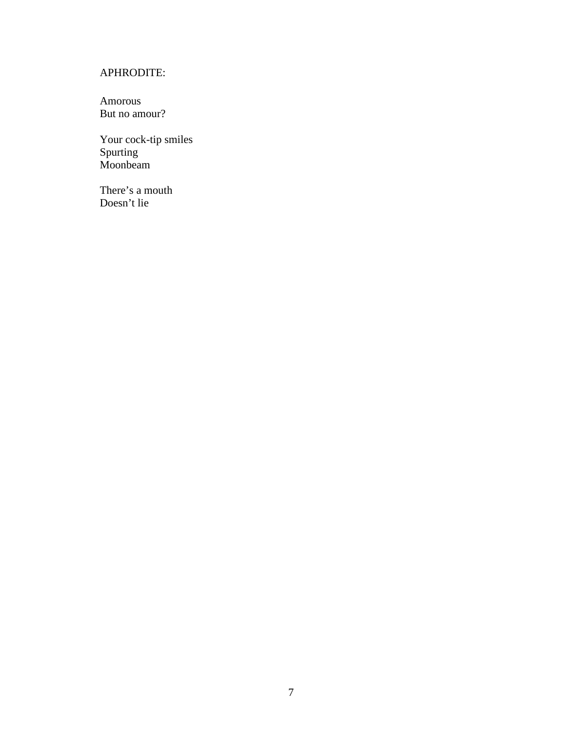# <span id="page-18-0"></span>APHRODITE:

Amorous But no amour?

Your cock-tip smiles Spurting Moonbeam

There's a mouth Doesn't lie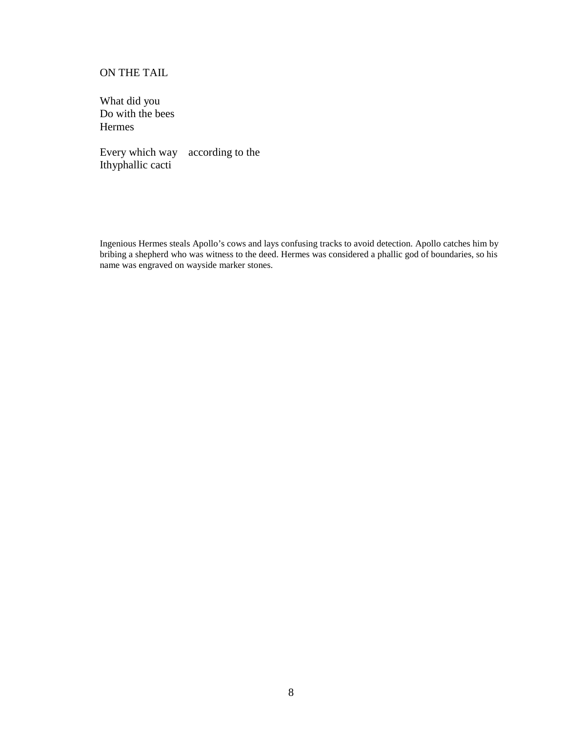## <span id="page-19-0"></span>ON THE TAIL

What did you Do with the bees Hermes

Every which way according to the Ithyphallic cacti

Ingenious Hermes steals Apollo's cows and lays confusing tracks to avoid detection. Apollo catches him by bribing a shepherd who was witness to the deed. Hermes was considered a phallic god of boundaries, so his name was engraved on wayside marker stones.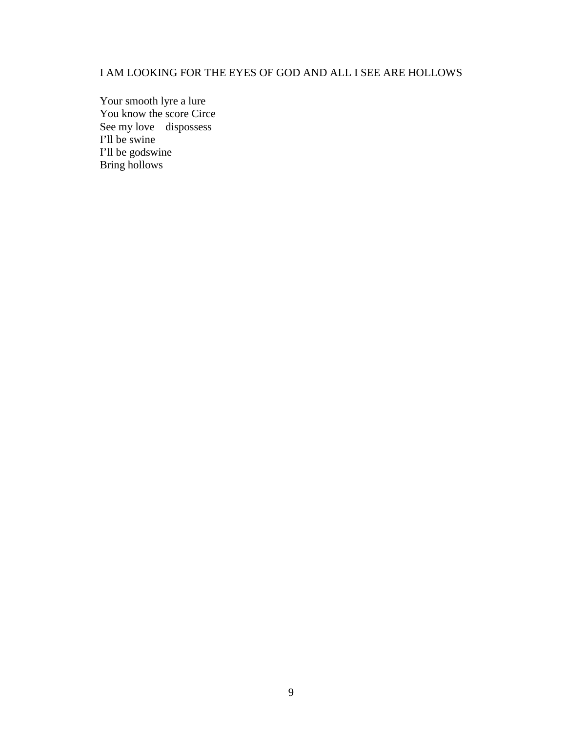# <span id="page-20-0"></span>I AM LOOKING FOR THE EYES OF GOD AND ALL I SEE ARE HOLLOWS

Your smooth lyre a lure You know the score Circe See my love dispossess I'll be swine I'll be godswine Bring hollows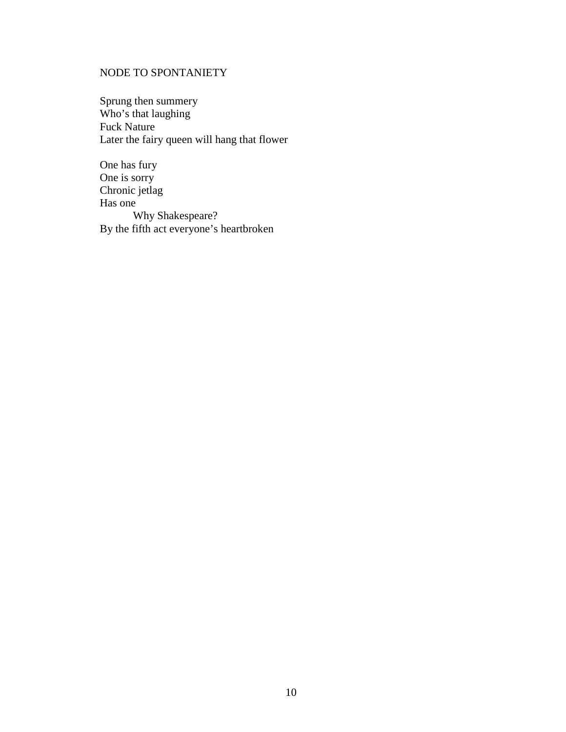# <span id="page-21-0"></span>NODE TO SPONTANIETY

Sprung then summery Who's that laughing Fuck Nature Later the fairy queen will hang that flower

One has fury One is sorry Chronic jetlag Has one Why Shakespeare? By the fifth act everyone's heartbroken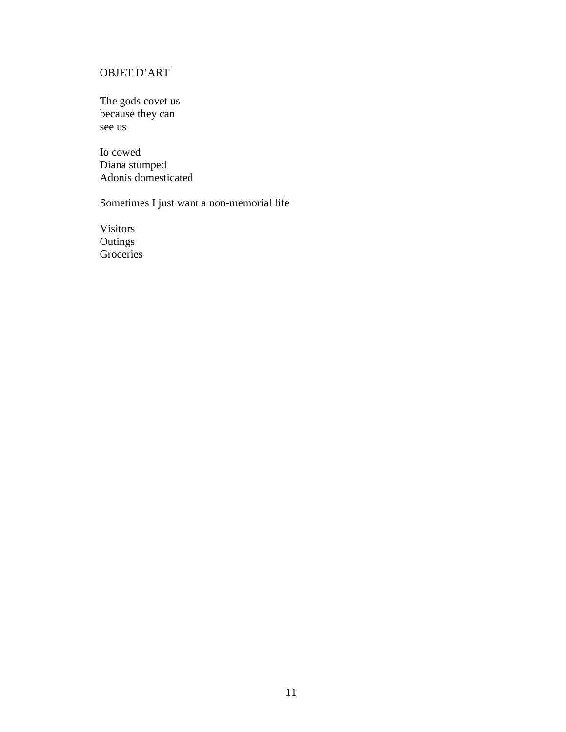# <span id="page-22-0"></span>OBJET D'ART

The gods covet us because they can see us

Io cowed Diana stumped Adonis domesticated

Sometimes I just want a non-memorial life

Visitors **Outings** Groceries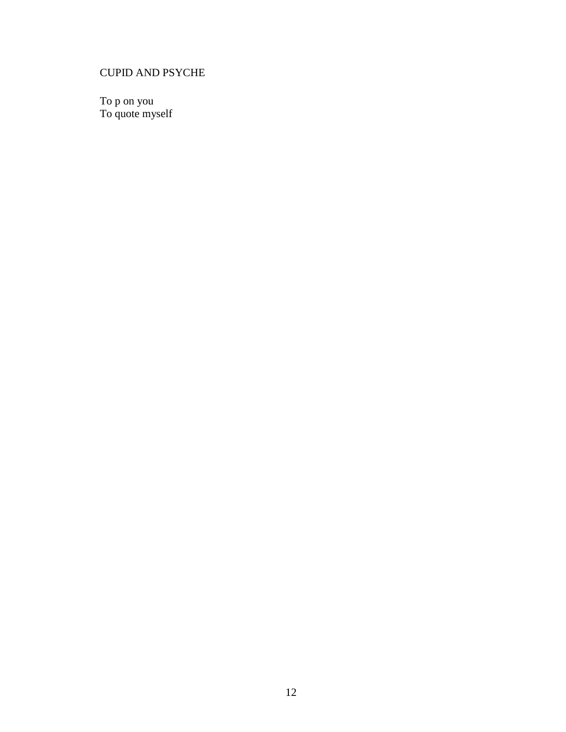# <span id="page-23-0"></span>CUPID AND PSYCHE

To p on you To quote myself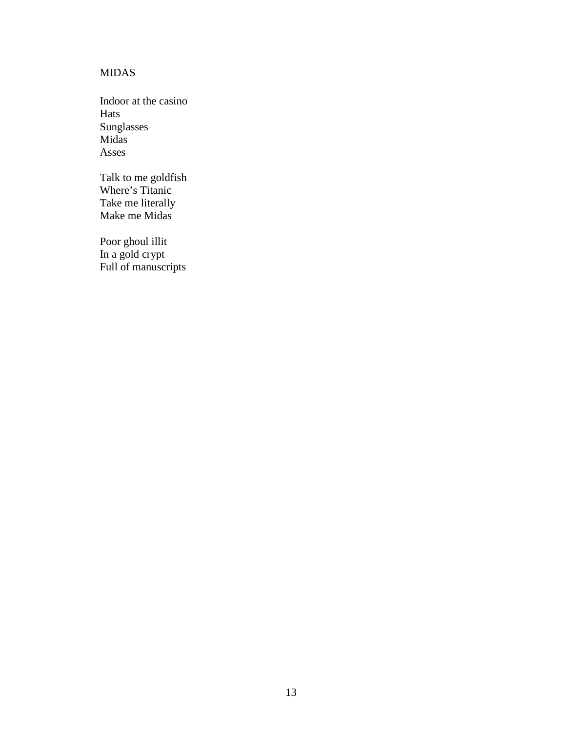# <span id="page-24-0"></span>MIDAS

Indoor at the casino Hats Sunglasses Midas Asses

Talk to me goldfish Where's Titanic Take me literally Make me Midas

Poor ghoul illit In a gold crypt Full of manuscripts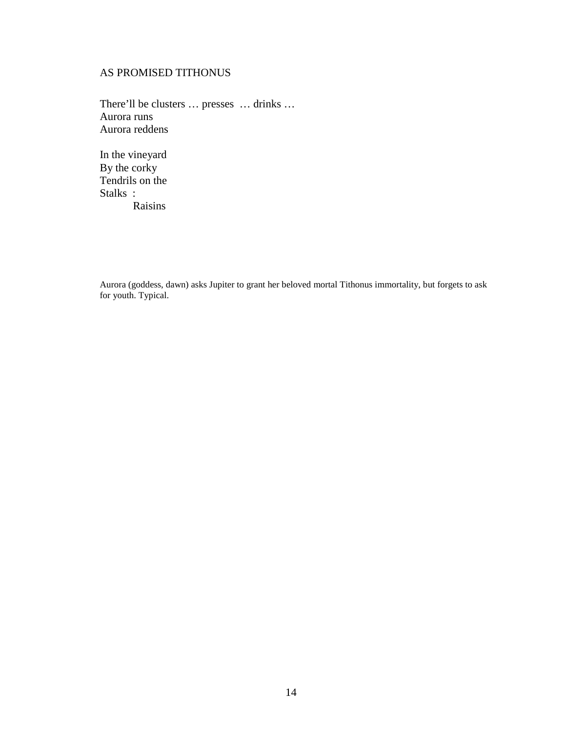# <span id="page-25-0"></span>AS PROMISED TITHONUS

There'll be clusters … presses … drinks … Aurora runs Aurora reddens

In the vineyard By the corky Tendrils on the Stalks : Raisins

Aurora (goddess, dawn) asks Jupiter to grant her beloved mortal Tithonus immortality, but forgets to ask for youth. Typical.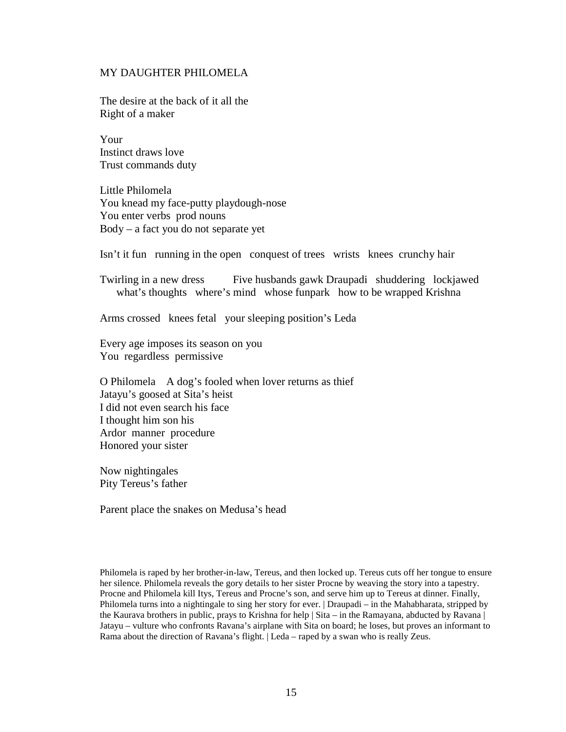#### <span id="page-26-0"></span>MY DAUGHTER PHILOMELA

The desire at the back of it all the Right of a maker

Your Instinct draws love Trust commands duty

Little Philomela You knead my face-putty playdough-nose You enter verbs prod nouns Body – a fact you do not separate yet

Isn't it fun running in the open conquest of trees wrists knees crunchy hair

Twirling in a new dress Five husbands gawk Draupadi shuddering lockjawed what's thoughts where's mind whose funpark how to be wrapped Krishna

Arms crossed knees fetal your sleeping position's Leda

Every age imposes its season on you You regardless permissive

O Philomela A dog's fooled when lover returns as thief Jatayu's goosed at Sita's heist I did not even search his face I thought him son his Ardor manner procedure Honored your sister

Now nightingales Pity Tereus's father

Parent place the snakes on Medusa's head

Philomela is raped by her brother-in-law, Tereus, and then locked up. Tereus cuts off her tongue to ensure her silence. Philomela reveals the gory details to her sister Procne by weaving the story into a tapestry. Procne and Philomela kill Itys, Tereus and Procne's son, and serve him up to Tereus at dinner. Finally, Philomela turns into a nightingale to sing her story for ever. | Draupadi – in the Mahabharata, stripped by the Kaurava brothers in public, prays to Krishna for help | Sita – in the Ramayana, abducted by Ravana | Jatayu – vulture who confronts Ravana's airplane with Sita on board; he loses, but proves an informant to Rama about the direction of Ravana's flight. | Leda – raped by a swan who is really Zeus.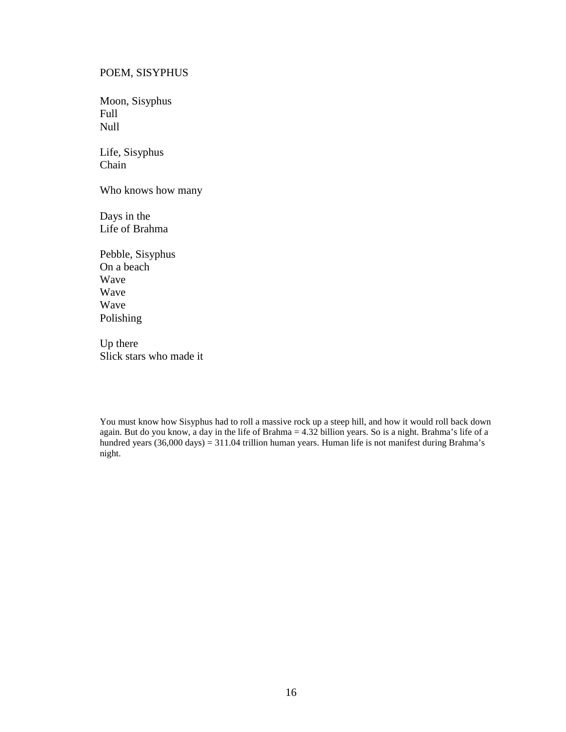#### <span id="page-27-0"></span>POEM, SISYPHUS

Moon, Sisyphus Full Null

Life, Sisyphus Chain

Who knows how many

Days in the Life of Brahma

Pebble, Sisyphus On a beach Wave Wave Wave Polishing

Up there Slick stars who made it

You must know how Sisyphus had to roll a massive rock up a steep hill, and how it would roll back down again. But do you know, a day in the life of Brahma = 4.32 billion years. So is a night. Brahma's life of a hundred years (36,000 days) = 311.04 trillion human years. Human life is not manifest during Brahma's night.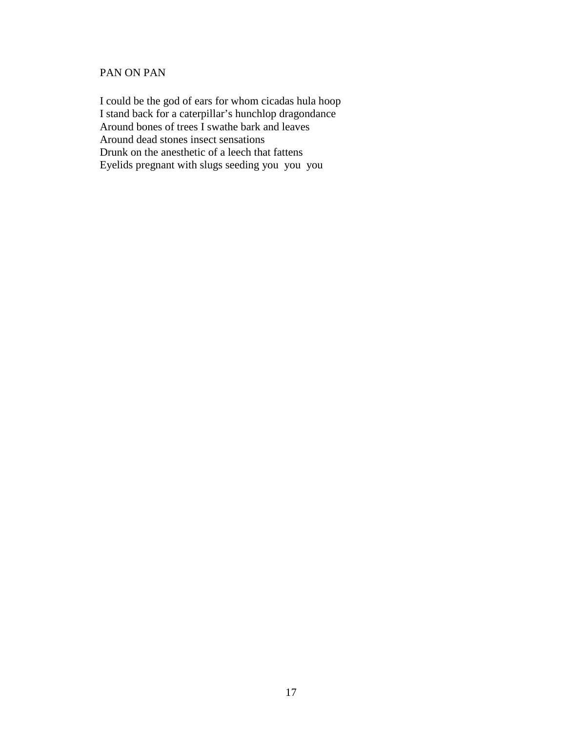# <span id="page-28-0"></span>PAN ON PAN

I could be the god of ears for whom cicadas hula hoop I stand back for a caterpillar's hunchlop dragondance Around bones of trees I swathe bark and leaves Around dead stones insect sensations Drunk on the anesthetic of a leech that fattens Eyelids pregnant with slugs seeding you you you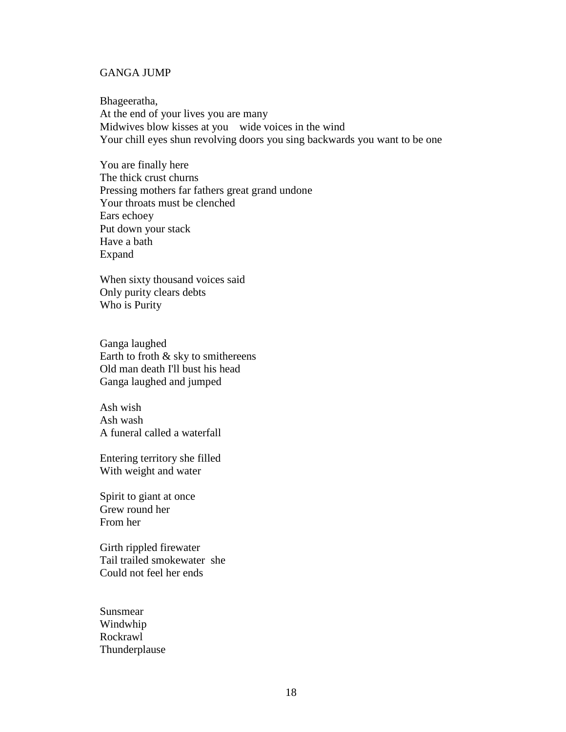## <span id="page-29-0"></span>GANGA JUMP

Bhageeratha, At the end of your lives you are many Midwives blow kisses at you wide voices in the wind Your chill eyes shun revolving doors you sing backwards you want to be one

You are finally here The thick crust churns Pressing mothers far fathers great grand undone Your throats must be clenched Ears echoey Put down your stack Have a bath Expand

When sixty thousand voices said Only purity clears debts Who is Purity

Ganga laughed Earth to froth  $&$  sky to smithereens Old man death I'll bust his head Ganga laughed and jumped

Ash wish Ash wash A funeral called a waterfall

Entering territory she filled With weight and water

Spirit to giant at once Grew round her From her

Girth rippled firewater Tail trailed smokewater she Could not feel her ends

Sunsmear Windwhip Rockrawl Thunderplause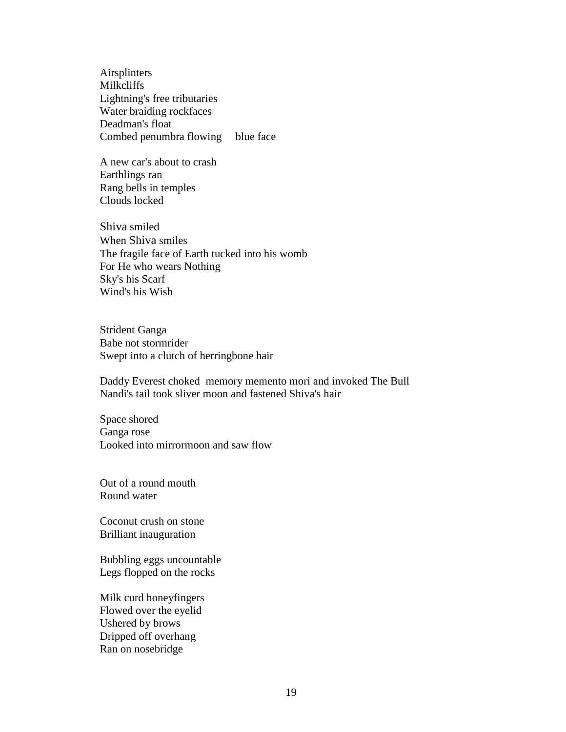Airsplinters Milkcliffs Lightning's free tributaries Water braiding rockfaces Deadman's float Combed penumbra flowing blue face

A new car's about to crash Earthlings ran Rang bells in temples Clouds locked

Shiva smiled When Shiva smiles The fragile face of Earth tucked into his womb For He who wears Nothing Sky's his Scarf Wind's his Wish

Strident Ganga Babe not stormrider Swept into a clutch of herringbone hair

Daddy Everest choked memory memento mori and invoked The Bull Nandi's tail took sliver moon and fastened Shiva's hair

Space shored Ganga rose Looked into mirrormoon and saw flow

Out of a round mouth Round water

Coconut crush on stone Brilliant inauguration

Bubbling eggs uncountable Legs flopped on the rocks

Milk curd honeyfingers Flowed over the eyelid Ushered by brows Dripped off overhang Ran on nosebridge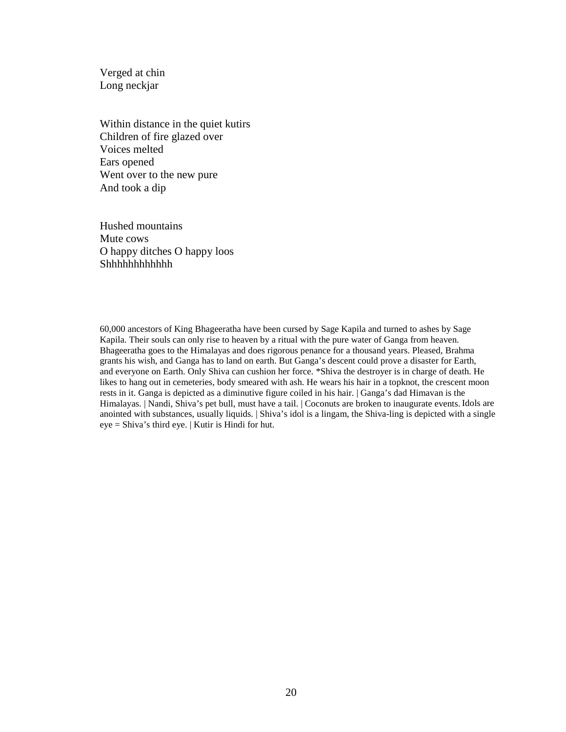Verged at chin Long neckjar

Within distance in the quiet kutirs Children of fire glazed over Voices melted Ears opened Went over to the new pure And took a dip

Hushed mountains Mute cows O happy ditches O happy loos Shhhhhhhhhhhhhhhhhh*hhhhhhhhhh* 

60,000 ancestors of King Bhageeratha have been cursed by Sage Kapila and turned to ashes by Sage Kapila. Their souls can only rise to heaven by a ritual with the pure water of Ganga from heaven. Bhageeratha goes to the Himalayas and does rigorous penance for a thousand years. Pleased, Brahma grants his wish, and Ganga has to land on earth. But Ganga's descent could prove a disaster for Earth, and everyone on Earth. Only Shiva can cushion her force. \*Shiva the destroyer is in charge of death. He likes to hang out in cemeteries, body smeared with ash. He wears his hair in a topknot, the crescent moon rests in it. Ganga is depicted as a diminutive figure coiled in his hair. | Ganga's dad Himavan is the Himalayas. | Nandi, Shiva's pet bull, must have a tail. | Coconuts are broken to inaugurate events. Idols are anointed with substances, usually liquids. | Shiva's idol is a lingam, the Shiva-ling is depicted with a single eye = Shiva's third eye. | Kutir is Hindi for hut.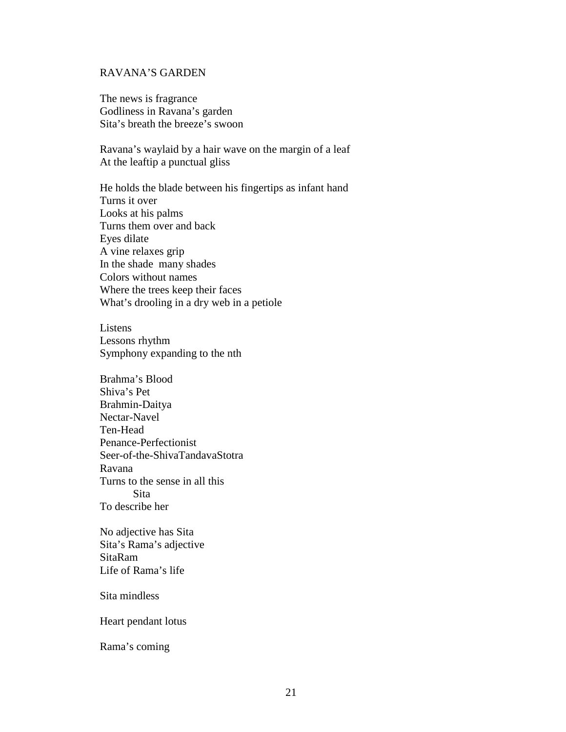#### <span id="page-32-0"></span>RAVANA'S GARDEN

The news is fragrance Godliness in Ravana's garden Sita's breath the breeze's swoon

Ravana's waylaid by a hair wave on the margin of a leaf At the leaftip a punctual gliss

He holds the blade between his fingertips as infant hand Turns it over Looks at his palms Turns them over and back Eyes dilate A vine relaxes grip In the shade many shades Colors without names Where the trees keep their faces What's drooling in a dry web in a petiole

Listens Lessons rhythm Symphony expanding to the nth

Brahma's Blood Shiva's Pet Brahmin-Daitya Nectar-Navel Ten-Head Penance-Perfectionist Seer-of-the-ShivaTandavaStotra Ravana Turns to the sense in all this Sita To describe her

No adjective has Sita Sita's Rama's adjective SitaRam Life of Rama's life

Sita mindless

Heart pendant lotus

Rama's coming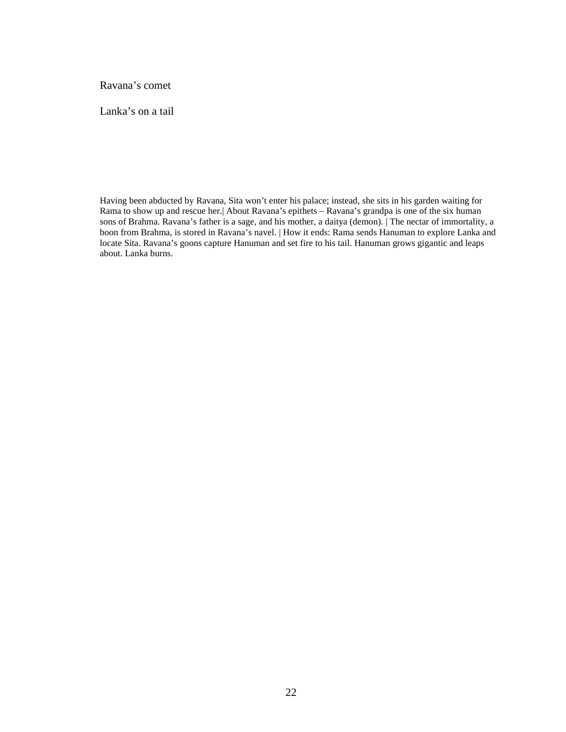Ravana's comet

Lanka's on a tail

Having been abducted by Ravana, Sita won't enter his palace; instead, she sits in his garden waiting for Rama to show up and rescue her.| About Ravana's epithets – Ravana's grandpa is one of the six human sons of Brahma. Ravana's father is a sage, and his mother, a daitya (demon). | The nectar of immortality, a boon from Brahma, is stored in Ravana's navel. | How it ends: Rama sends Hanuman to explore Lanka and locate Sita. Ravana's goons capture Hanuman and set fire to his tail. Hanuman grows gigantic and leaps about. Lanka burns.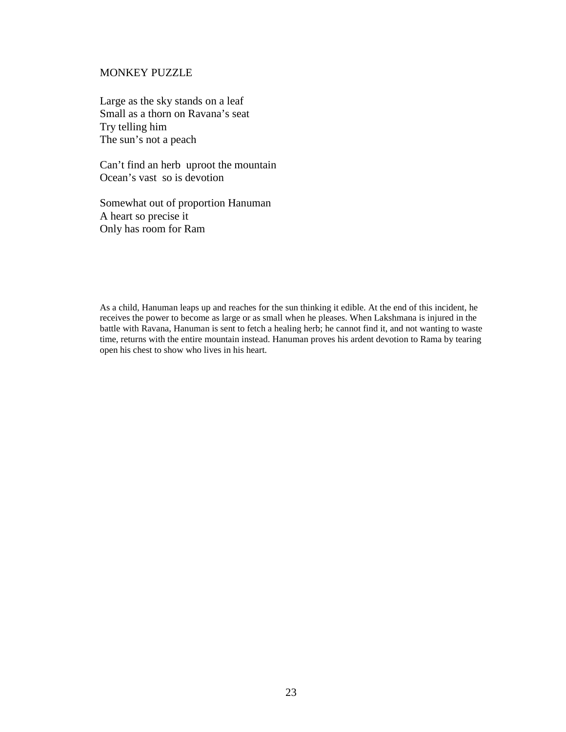#### <span id="page-34-0"></span>MONKEY PUZZLE

Large as the sky stands on a leaf Small as a thorn on Ravana's seat Try telling him The sun's not a peach

Can't find an herb uproot the mountain Ocean's vast so is devotion

Somewhat out of proportion Hanuman A heart so precise it Only has room for Ram

As a child, Hanuman leaps up and reaches for the sun thinking it edible. At the end of this incident, he receives the power to become as large or as small when he pleases. When Lakshmana is injured in the battle with Ravana, Hanuman is sent to fetch a healing herb; he cannot find it, and not wanting to waste time, returns with the entire mountain instead. Hanuman proves his ardent devotion to Rama by tearing open his chest to show who lives in his heart.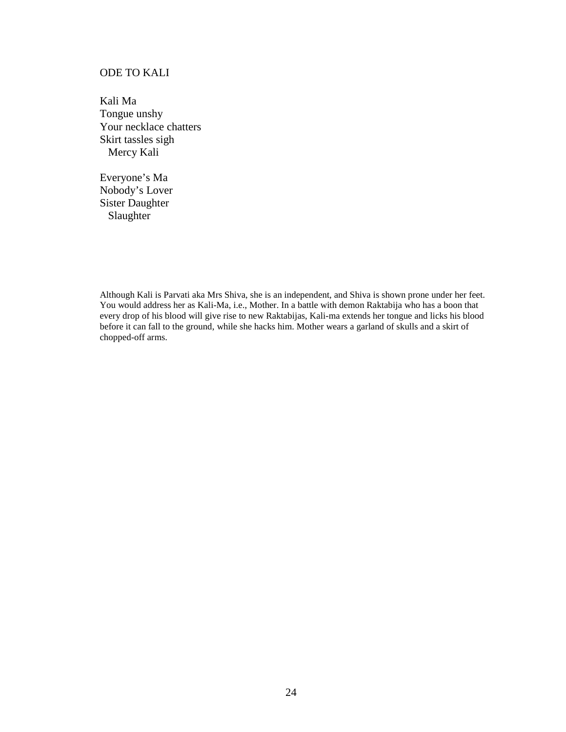# <span id="page-35-0"></span>ODE TO KALI

Kali Ma Tongue unshy Your necklace chatters Skirt tassles sigh Mercy Kali

Everyone's Ma Nobody's Lover Sister Daughter Slaughter

Although Kali is Parvati aka Mrs Shiva, she is an independent, and Shiva is shown prone under her feet. You would address her as Kali-Ma, i.e., Mother. In a battle with demon Raktabija who has a boon that every drop of his blood will give rise to new Raktabijas, Kali-ma extends her tongue and licks his blood before it can fall to the ground, while she hacks him. Mother wears a garland of skulls and a skirt of chopped-off arms.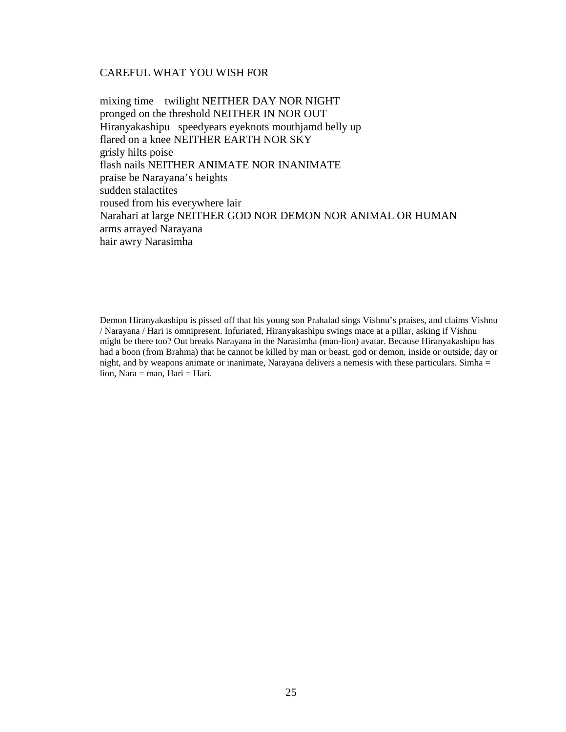#### <span id="page-36-0"></span>CAREFUL WHAT YOU WISH FOR

mixing time twilight NEITHER DAY NOR NIGHT pronged on the threshold NEITHER IN NOR OUT Hiranyakashipu speedyears eyeknots mouthjamd belly up flared on a knee NEITHER EARTH NOR SKY grisly hilts poise flash nails NEITHER ANIMATE NOR INANIMATE praise be Narayana's heights sudden stalactites roused from his everywhere lair Narahari at large NEITHER GOD NOR DEMON NOR ANIMAL OR HUMAN arms arrayed Narayana hair awry Narasimha

Demon Hiranyakashipu is pissed off that his young son Prahalad sings Vishnu's praises, and claims Vishnu / Narayana / Hari is omnipresent. Infuriated, Hiranyakashipu swings mace at a pillar, asking if Vishnu might be there too? Out breaks Narayana in the Narasimha (man-lion) avatar. Because Hiranyakashipu has had a boon (from Brahma) that he cannot be killed by man or beast, god or demon, inside or outside, day or night, and by weapons animate or inanimate, Narayana delivers a nemesis with these particulars. Simha = lion, Nara = man, Hari = Hari.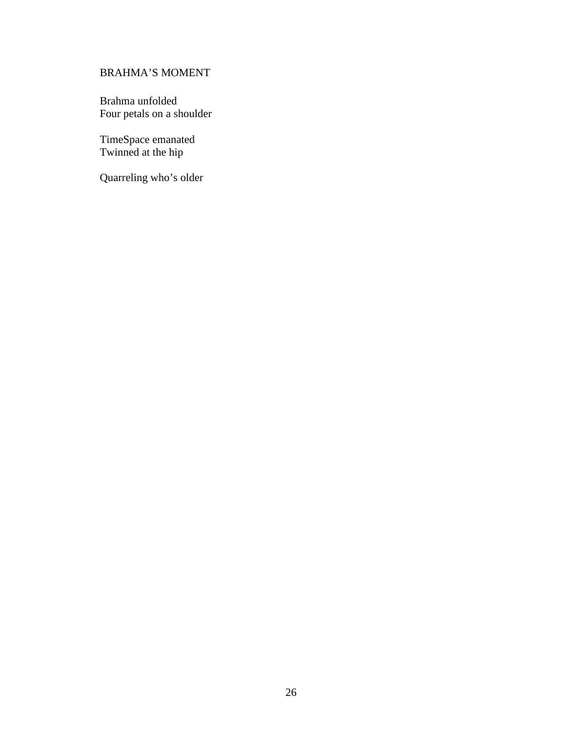# <span id="page-37-0"></span>BRAHMA'S MOMENT

Brahma unfolded Four petals on a shoulder

TimeSpace emanated Twinned at the hip

Quarreling who's older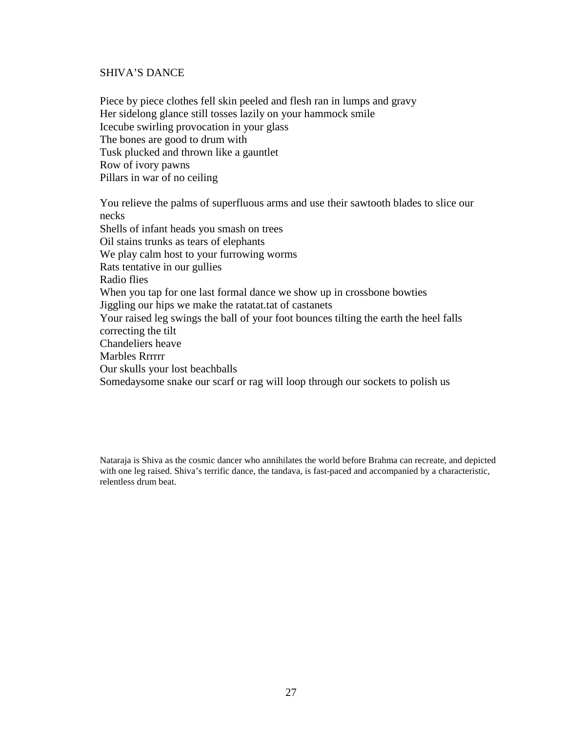#### <span id="page-38-0"></span>SHIVA'S DANCE

Piece by piece clothes fell skin peeled and flesh ran in lumps and gravy Her sidelong glance still tosses lazily on your hammock smile Icecube swirling provocation in your glass The bones are good to drum with Tusk plucked and thrown like a gauntlet Row of ivory pawns Pillars in war of no ceiling

You relieve the palms of superfluous arms and use their sawtooth blades to slice our necks Shells of infant heads you smash on trees Oil stains trunks as tears of elephants We play calm host to your furrowing worms Rats tentative in our gullies Radio flies When you tap for one last formal dance we show up in crossbone bowties Jiggling our hips we make the ratatat.tat of castanets Your raised leg swings the ball of your foot bounces tilting the earth the heel falls correcting the tilt Chandeliers heave Marbles Rrrrrr Our skulls your lost beachballs Somedaysome snake our scarf or rag will loop through our sockets to polish us

Nataraja is Shiva as the cosmic dancer who annihilates the world before Brahma can recreate, and depicted with one leg raised. Shiva's terrific dance, the tandava, is fast-paced and accompanied by a characteristic, relentless drum beat.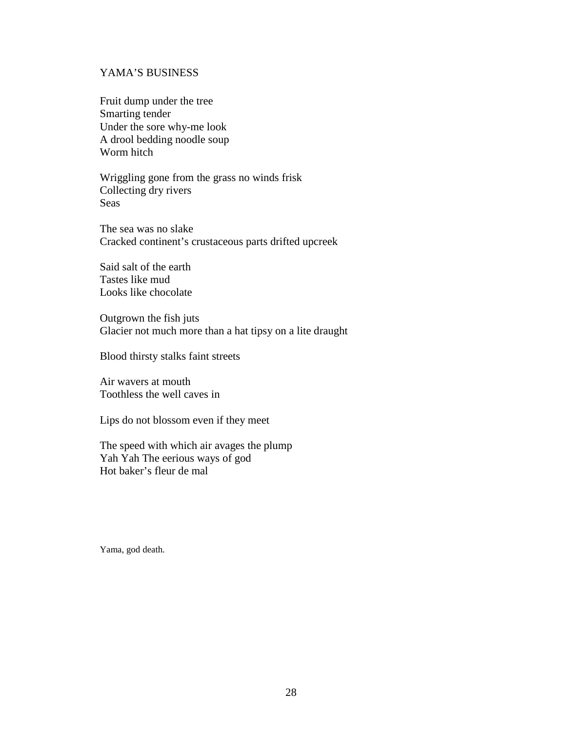# <span id="page-39-0"></span>YAMA'S BUSINESS

Fruit dump under the tree Smarting tender Under the sore why-me look A drool bedding noodle soup Worm hitch

Wriggling gone from the grass no winds frisk Collecting dry rivers Seas

The sea was no slake Cracked continent's crustaceous parts drifted upcreek

Said salt of the earth Tastes like mud Looks like chocolate

Outgrown the fish juts Glacier not much more than a hat tipsy on a lite draught

Blood thirsty stalks faint streets

Air wavers at mouth Toothless the well caves in

Lips do not blossom even if they meet

The speed with which air avages the plump Yah Yah The eerious ways of god Hot baker's fleur de mal

Yama, god death.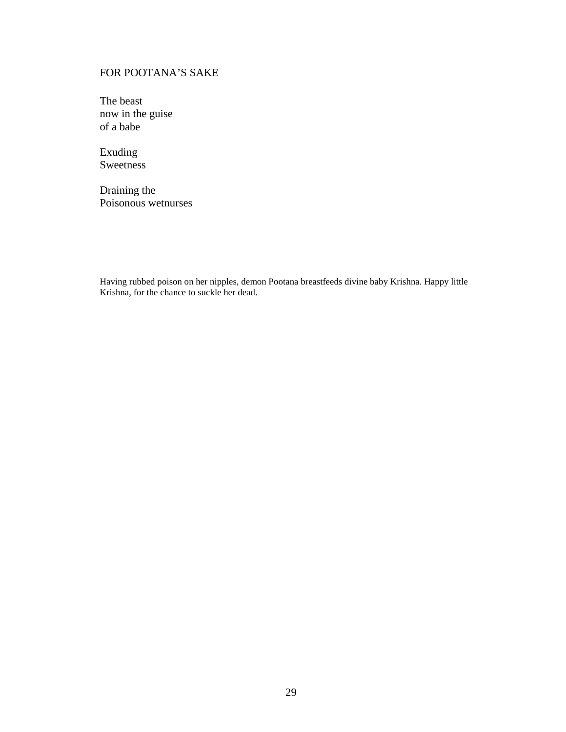# <span id="page-40-0"></span>FOR POOTANA'S SAKE

The beast now in the guise of a babe

Exuding Sweetness

Draining the Poisonous wetnurses

Having rubbed poison on her nipples, demon Pootana breastfeeds divine baby Krishna. Happy little Krishna, for the chance to suckle her dead.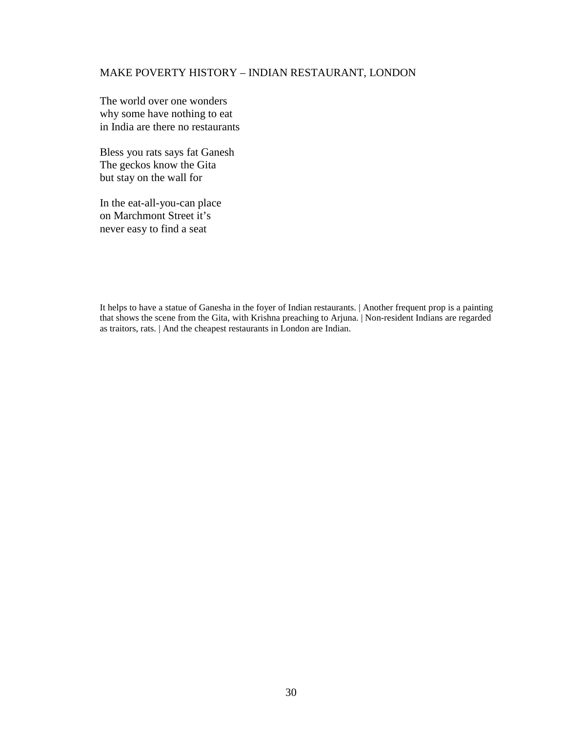## <span id="page-41-0"></span>MAKE POVERTY HISTORY – INDIAN RESTAURANT, LONDON

The world over one wonders why some have nothing to eat in India are there no restaurants

Bless you rats says fat Ganesh The geckos know the Gita but stay on the wall for

In the eat-all-you-can place on Marchmont Street it's never easy to find a seat

It helps to have a statue of Ganesha in the foyer of Indian restaurants. | Another frequent prop is a painting that shows the scene from the Gita, with Krishna preaching to Arjuna. | Non-resident Indians are regarded as traitors, rats. | And the cheapest restaurants in London are Indian.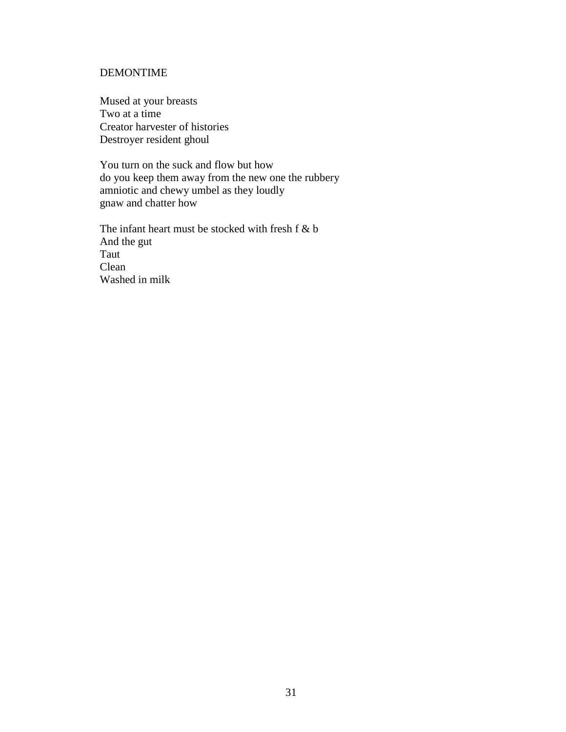## <span id="page-42-0"></span>DEMONTIME

Mused at your breasts Two at a time Creator harvester of histories Destroyer resident ghoul

You turn on the suck and flow but how do you keep them away from the new one the rubbery amniotic and chewy umbel as they loudly gnaw and chatter how

The infant heart must be stocked with fresh f & b And the gut Taut Clean Washed in milk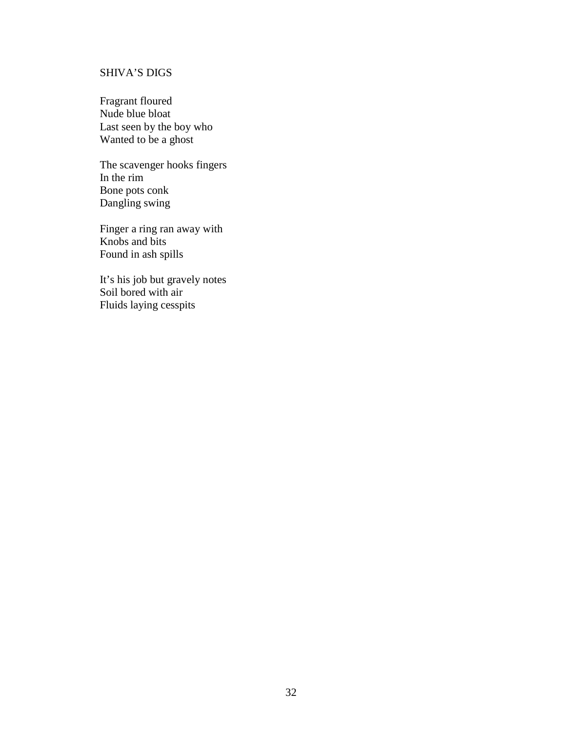# <span id="page-43-0"></span>SHIVA'S DIGS

Fragrant floured Nude blue bloat Last seen by the boy who Wanted to be a ghost

The scavenger hooks fingers In the rim Bone pots conk Dangling swing

Finger a ring ran away with Knobs and bits Found in ash spills

It's his job but gravely notes Soil bored with air Fluids laying cesspits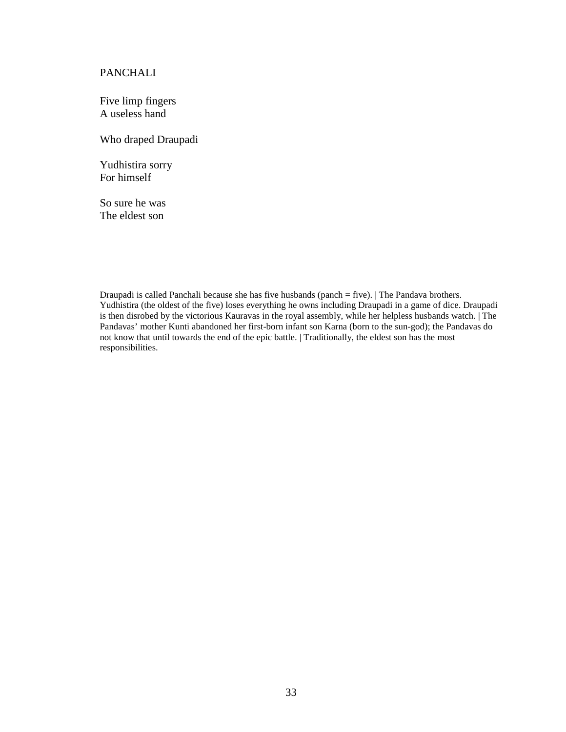## <span id="page-44-0"></span>PANCHALI

Five limp fingers A useless hand

Who draped Draupadi

Yudhistira sorry For himself

So sure he was The eldest son

Draupadi is called Panchali because she has five husbands (panch = five). | The Pandava brothers. Yudhistira (the oldest of the five) loses everything he owns including Draupadi in a game of dice. Draupadi is then disrobed by the victorious Kauravas in the royal assembly, while her helpless husbands watch. | The Pandavas' mother Kunti abandoned her first-born infant son Karna (born to the sun-god); the Pandavas do not know that until towards the end of the epic battle. | Traditionally, the eldest son has the most responsibilities.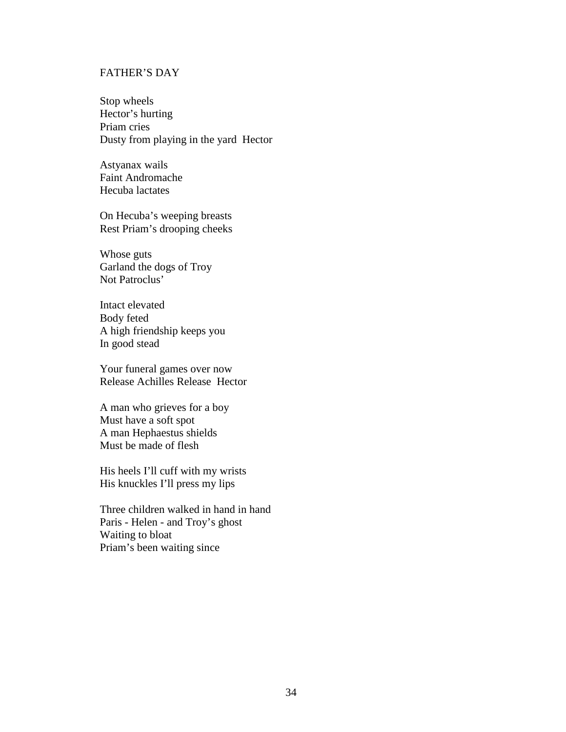# <span id="page-45-0"></span>FATHER'S DAY

Stop wheels Hector's hurting Priam cries Dusty from playing in the yard Hector

Astyanax wails Faint Andromache Hecuba lactates

On Hecuba's weeping breasts Rest Priam's drooping cheeks

Whose guts Garland the dogs of Troy Not Patroclus'

Intact elevated Body feted A high friendship keeps you In good stead

Your funeral games over now Release Achilles Release Hector

A man who grieves for a boy Must have a soft spot A man Hephaestus shields Must be made of flesh

His heels I'll cuff with my wrists His knuckles I'll press my lips

Three children walked in hand in hand Paris - Helen - and Troy's ghost Waiting to bloat Priam's been waiting since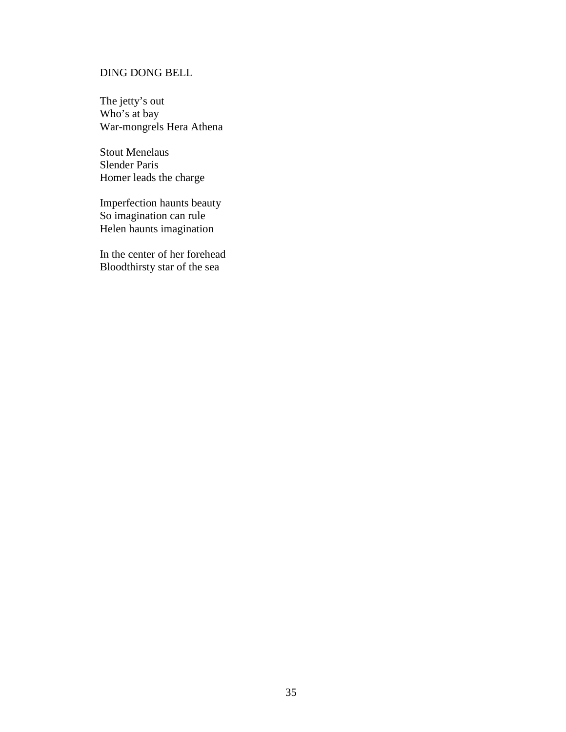# <span id="page-46-0"></span>DING DONG BELL

The jetty's out Who's at bay War-mongrels Hera Athena

Stout Menelaus Slender Paris Homer leads the charge

Imperfection haunts beauty So imagination can rule Helen haunts imagination

In the center of her forehead Bloodthirsty star of the sea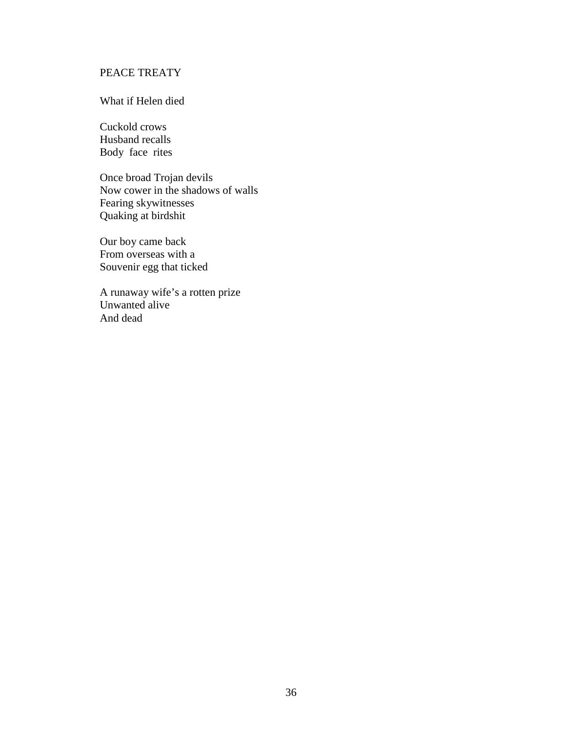# <span id="page-47-0"></span>PEACE TREATY

#### What if Helen died

Cuckold crows Husband recalls Body face rites

Once broad Trojan devils Now cower in the shadows of walls Fearing skywitnesses Quaking at birdshit

Our boy came back From overseas with a Souvenir egg that ticked

A runaway wife's a rotten prize Unwanted alive And dead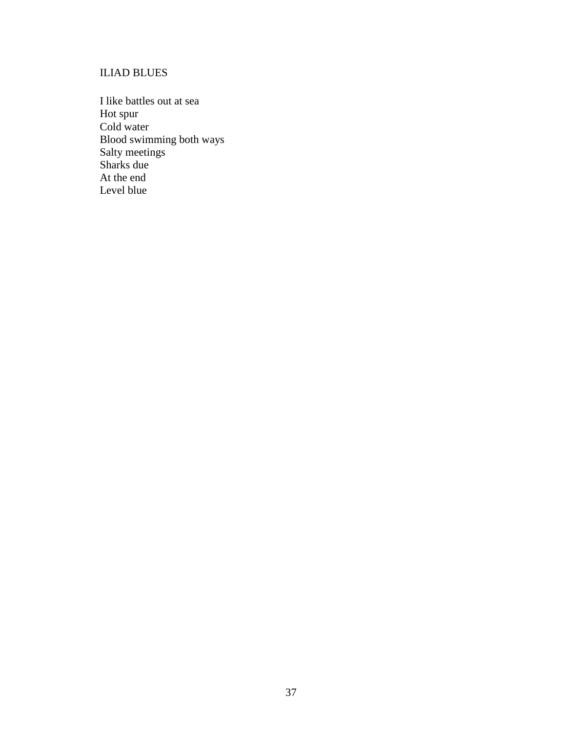# <span id="page-48-0"></span>ILIAD BLUES

I like battles out at sea Hot spur Cold water Blood swimming both ways Salty meetings Sharks due At the end Level blue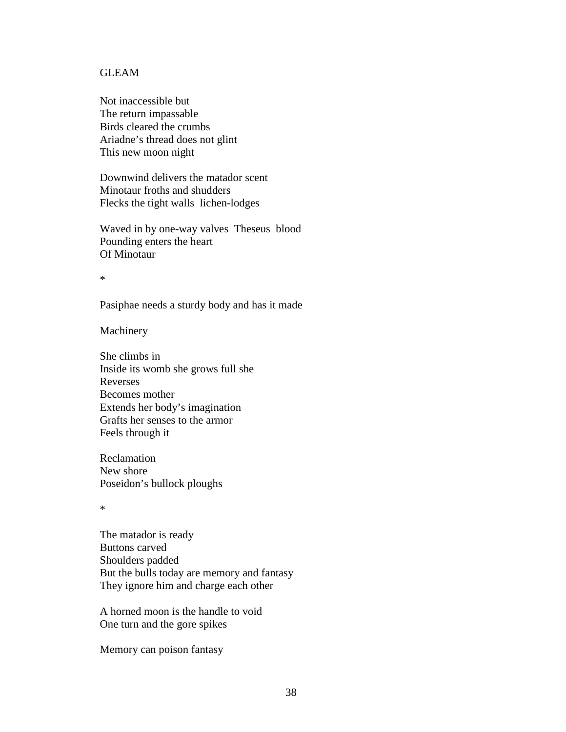## <span id="page-49-0"></span>GLEAM

Not inaccessible but The return impassable Birds cleared the crumbs Ariadne's thread does not glint This new moon night

Downwind delivers the matador scent Minotaur froths and shudders Flecks the tight walls lichen-lodges

Waved in by one-way valves Theseus blood Pounding enters the heart Of Minotaur

\*

Pasiphae needs a sturdy body and has it made

Machinery

She climbs in Inside its womb she grows full she Reverses Becomes mother Extends her body's imagination Grafts her senses to the armor Feels through it

Reclamation New shore Poseidon's bullock ploughs

\*

The matador is ready Buttons carved Shoulders padded But the bulls today are memory and fantasy They ignore him and charge each other

A horned moon is the handle to void One turn and the gore spikes

Memory can poison fantasy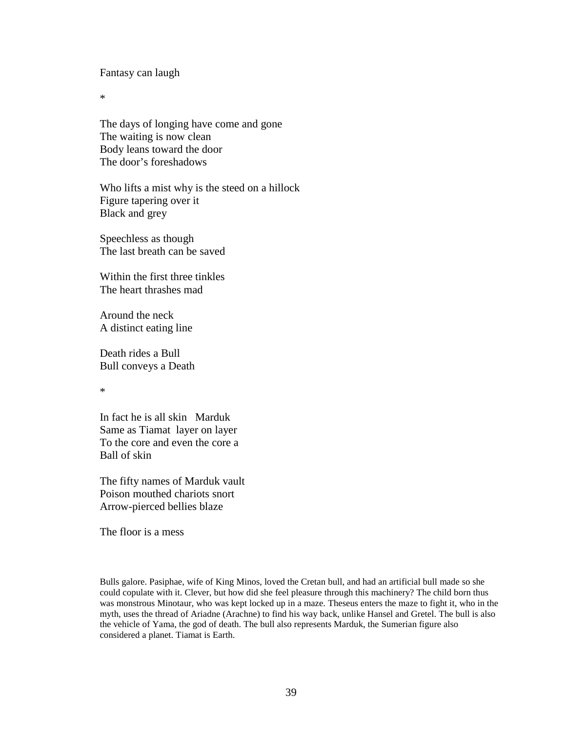Fantasy can laugh

\*

The days of longing have come and gone The waiting is now clean Body leans toward the door The door's foreshadows

Who lifts a mist why is the steed on a hillock Figure tapering over it Black and grey

Speechless as though The last breath can be saved

Within the first three tinkles The heart thrashes mad

Around the neck A distinct eating line

Death rides a Bull Bull conveys a Death

\*

In fact he is all skin Marduk Same as Tiamat layer on layer To the core and even the core a Ball of skin

The fifty names of Marduk vault Poison mouthed chariots snort Arrow-pierced bellies blaze

The floor is a mess

Bulls galore. Pasiphae, wife of King Minos, loved the Cretan bull, and had an artificial bull made so she could copulate with it. Clever, but how did she feel pleasure through this machinery? The child born thus was monstrous Minotaur, who was kept locked up in a maze. Theseus enters the maze to fight it, who in the myth, uses the thread of Ariadne (Arachne) to find his way back, unlike Hansel and Gretel. The bull is also the vehicle of Yama, the god of death. The bull also represents Marduk, the Sumerian figure also considered a planet. Tiamat is Earth.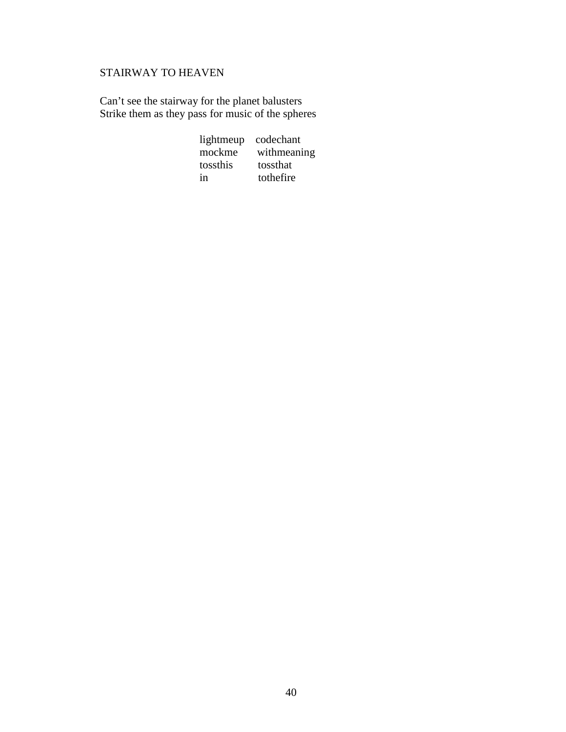# <span id="page-51-0"></span>STAIRWAY TO HEAVEN

Can't see the stairway for the planet balusters Strike them as they pass for music of the spheres

| lightmeup | codechant   |
|-----------|-------------|
| mockme    | withmeaning |
| tossthis  | tossthat    |
| in        | tothefire   |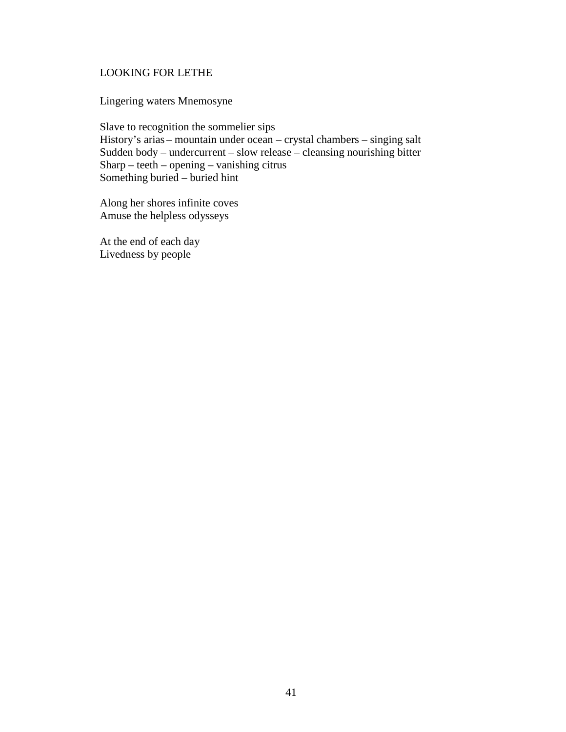# <span id="page-52-0"></span>LOOKING FOR LETHE

Lingering waters Mnemosyne

Slave to recognition the sommelier sips History's arias – mountain under ocean – crystal chambers – singing salt Sudden body – undercurrent – slow release – cleansing nourishing bitter Sharp – teeth – opening – vanishing citrus Something buried – buried hint

Along her shores infinite coves Amuse the helpless odysseys

At the end of each day Livedness by people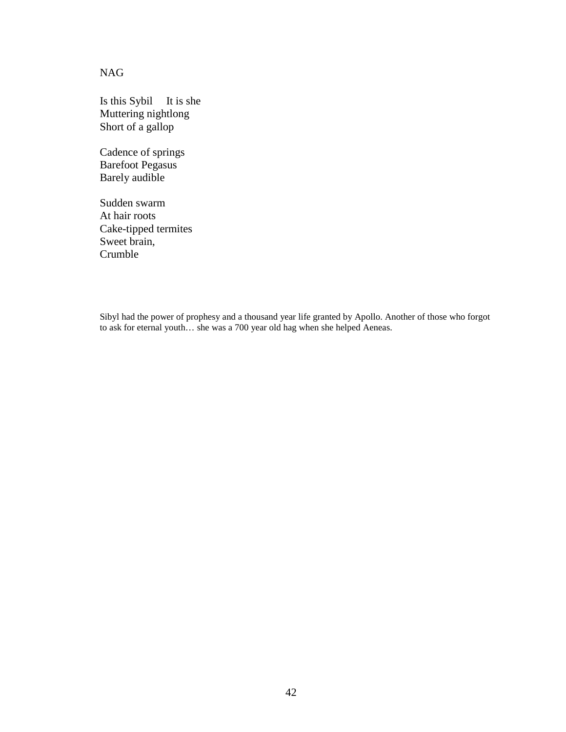<span id="page-53-0"></span>NAG

Is this Sybil It is she Muttering nightlong Short of a gallop

Cadence of springs Barefoot Pegasus Barely audible

Sudden swarm At hair roots Cake-tipped termites Sweet brain, Crumble

Sibyl had the power of prophesy and a thousand year life granted by Apollo. Another of those who forgot to ask for eternal youth… she was a 700 year old hag when she helped Aeneas.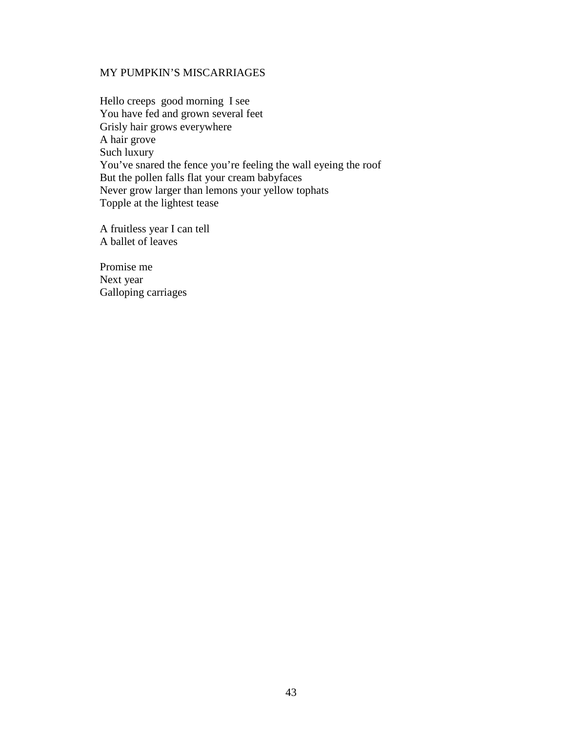## <span id="page-54-0"></span>MY PUMPKIN'S MISCARRIAGES

Hello creeps good morning I see You have fed and grown several feet Grisly hair grows everywhere A hair grove Such luxury You've snared the fence you're feeling the wall eyeing the roof But the pollen falls flat your cream babyfaces Never grow larger than lemons your yellow tophats Topple at the lightest tease

A fruitless year I can tell A ballet of leaves

Promise me Next year Galloping carriages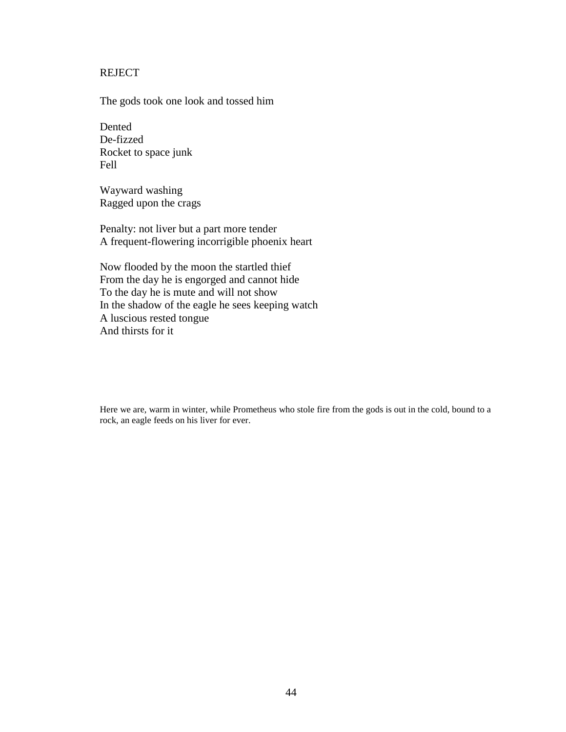# <span id="page-55-0"></span>**REJECT**

The gods took one look and tossed him

Dented De-fizzed Rocket to space junk Fell

Wayward washing Ragged upon the crags

Penalty: not liver but a part more tender A frequent-flowering incorrigible phoenix heart

Now flooded by the moon the startled thief From the day he is engorged and cannot hide To the day he is mute and will not show In the shadow of the eagle he sees keeping watch A luscious rested tongue And thirsts for it

Here we are, warm in winter, while Prometheus who stole fire from the gods is out in the cold, bound to a rock, an eagle feeds on his liver for ever.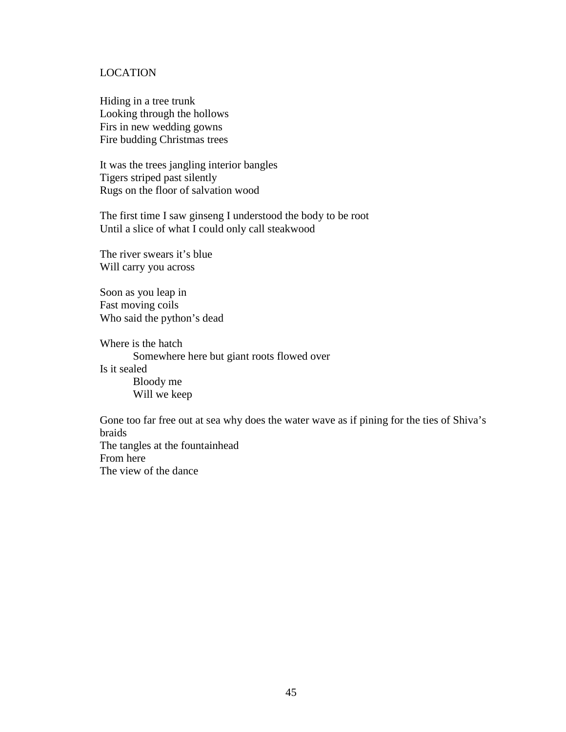## <span id="page-56-0"></span>LOCATION

Hiding in a tree trunk Looking through the hollows Firs in new wedding gowns Fire budding Christmas trees

It was the trees jangling interior bangles Tigers striped past silently Rugs on the floor of salvation wood

The first time I saw ginseng I understood the body to be root Until a slice of what I could only call steakwood

The river swears it's blue Will carry you across

Soon as you leap in Fast moving coils Who said the python's dead

Where is the hatch Somewhere here but giant roots flowed over Is it sealed Bloody me Will we keep

Gone too far free out at sea why does the water wave as if pining for the ties of Shiva's braids The tangles at the fountainhead From here The view of the dance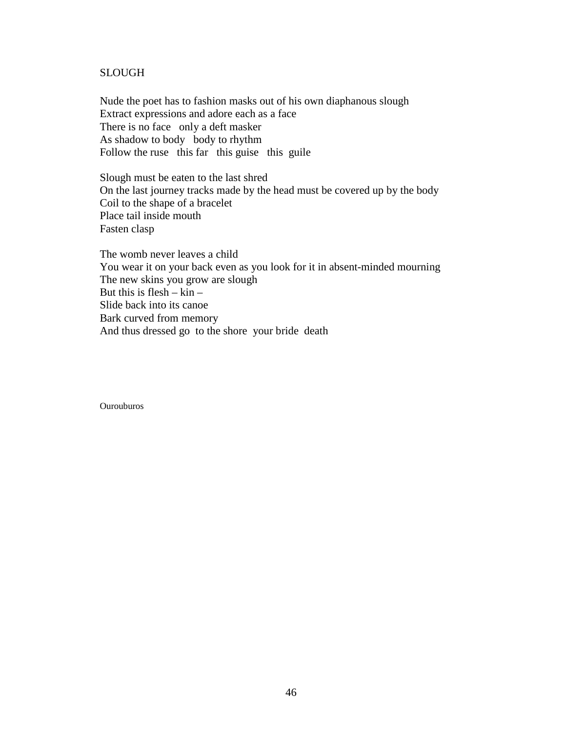#### <span id="page-57-0"></span>SLOUGH

Nude the poet has to fashion masks out of his own diaphanous slough Extract expressions and adore each as a face There is no face only a deft masker As shadow to body body to rhythm Follow the ruse this far this guise this guile

Slough must be eaten to the last shred On the last journey tracks made by the head must be covered up by the body Coil to the shape of a bracelet Place tail inside mouth Fasten clasp

The womb never leaves a child You wear it on your back even as you look for it in absent-minded mourning The new skins you grow are slough But this is  $f \text{lesh} - \text{kin} -$ Slide back into its canoe Bark curved from memory And thus dressed go to the shore your bride death

Ourouburos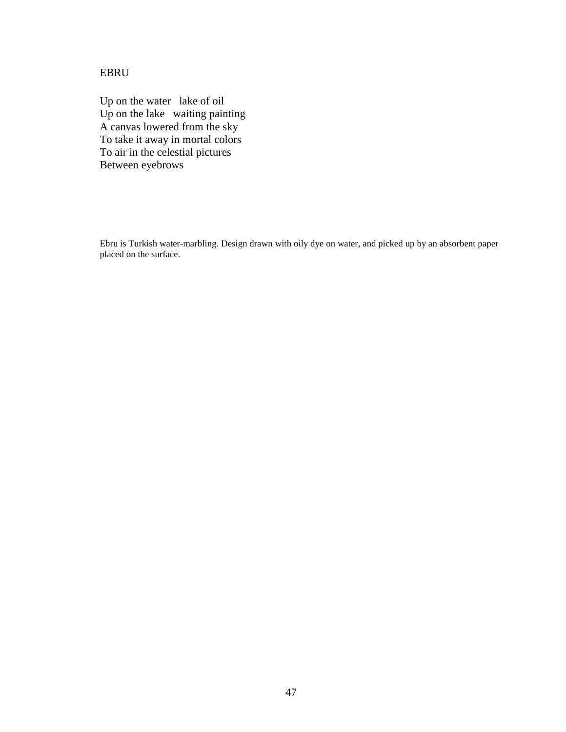# <span id="page-58-0"></span>EBRU

Up on the water lake of oil Up on the lake waiting painting A canvas lowered from the sky To take it away in mortal colors To air in the celestial pictures Between eyebrows

Ebru is Turkish water-marbling. Design drawn with oily dye on water, and picked up by an absorbent paper placed on the surface.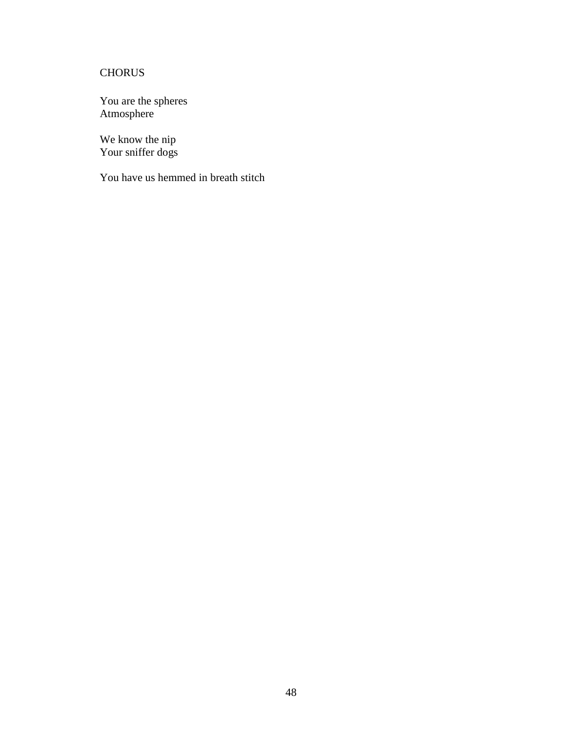# <span id="page-59-0"></span>**CHORUS**

You are the spheres Atmosphere

We know the nip Your sniffer dogs

You have us hemmed in breath stitch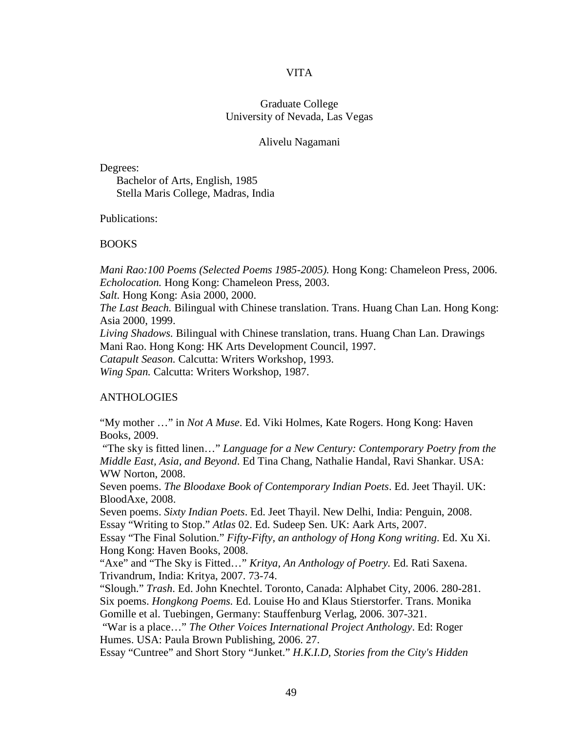#### VITA

## Graduate College University of Nevada, Las Vegas

#### Alivelu Nagamani

<span id="page-60-0"></span>Degrees:

Bachelor of Arts, English, 1985 Stella Maris College, Madras, India

Publications:

#### BOOKS

*Mani Rao:100 Poems (Selected Poems 1985-2005).* Hong Kong: Chameleon Press, 2006. *Echolocation.* Hong Kong: Chameleon Press, 2003.

*Salt.* Hong Kong: Asia 2000, 2000.

*The Last Beach.* Bilingual with Chinese translation. Trans. Huang Chan Lan. Hong Kong: Asia 2000, 1999.

*Living Shadows.* Bilingual with Chinese translation, trans. Huang Chan Lan. Drawings Mani Rao. Hong Kong: HK Arts Development Council, 1997.

*Catapult Season.* Calcutta: Writers Workshop, 1993.

*Wing Span.* Calcutta: Writers Workshop, 1987.

#### **ANTHOLOGIES**

"My mother …" in *Not A Muse*. Ed. Viki Holmes, Kate Rogers. Hong Kong: Haven Books, 2009.

"The sky is fitted linen…" *Language for a New Century: Contemporary Poetry from the Middle East, Asia, and Beyond*. Ed Tina Chang, Nathalie Handal, Ravi Shankar. USA: WW Norton, 2008.

Seven poems. *The Bloodaxe Book of Contemporary Indian Poets*. Ed. Jeet Thayil. UK: BloodAxe, 2008.

Seven poems. *Sixty Indian Poets*. Ed. Jeet Thayil. New Delhi, India: Penguin, 2008. Essay "Writing to Stop." *Atlas* 02. Ed. Sudeep Sen. UK: Aark Arts, 2007.

Essay "The Final Solution." *Fifty-Fifty, an anthology of Hong Kong writing*. Ed. Xu Xi. Hong Kong: Haven Books, 2008.

"Axe" and "The Sky is Fitted…" *Kritya, An Anthology of Poetry.* Ed. Rati Saxena. Trivandrum, India: Kritya, 2007. 73-74.

"Slough." *Trash*. Ed. John Knechtel. Toronto, Canada: Alphabet City, 2006. 280-281. Six poems. *Hongkong Poems.* Ed. Louise Ho and Klaus Stierstorfer. Trans. Monika Gomille et al. Tuebingen, Germany: Stauffenburg Verlag, 2006. 307-321.

"War is a place…" *The Other Voices International Project Anthology*. Ed: Roger Humes. USA: Paula Brown Publishing, 2006. 27.

Essay "Cuntree" and Short Story "Junket." *H.K.I.D, Stories from the City's Hidden*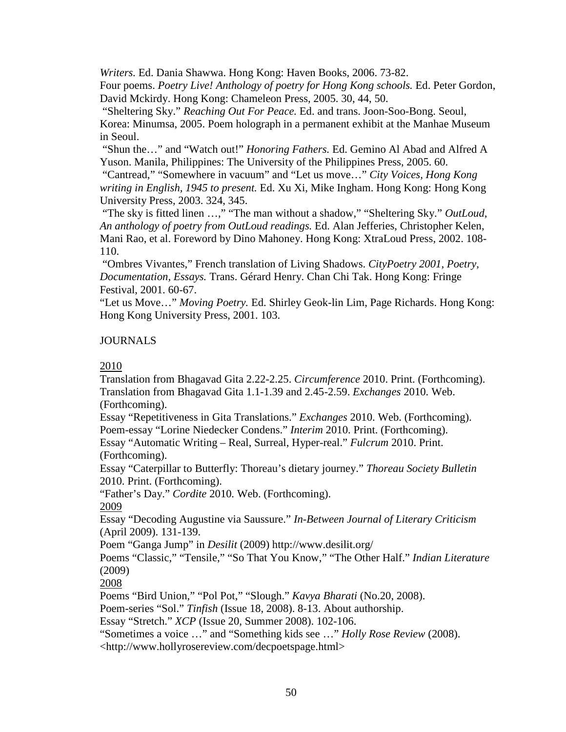*Writers.* Ed. Dania Shawwa. Hong Kong: Haven Books, 2006. 73-82.

Four poems. *Poetry Live! Anthology of poetry for Hong Kong schools.* Ed. Peter Gordon, David Mckirdy. Hong Kong: Chameleon Press, 2005. 30, 44, 50.

"Sheltering Sky." *Reaching Out For Peace.* Ed. and trans. Joon-Soo-Bong. Seoul, Korea: Minumsa, 2005. Poem holograph in a permanent exhibit at the Manhae Museum in Seoul.

"Shun the…" and "Watch out!" *Honoring Fathers.* Ed. Gemino Al Abad and Alfred A Yuson. Manila, Philippines: The University of the Philippines Press, 2005. 60.

"Cantread," "Somewhere in vacuum" and "Let us move…" *City Voices, Hong Kong writing in English, 1945 to present.* Ed. Xu Xi, Mike Ingham. Hong Kong: Hong Kong University Press, 2003. 324, 345.

"The sky is fitted linen …," "The man without a shadow," "Sheltering Sky." *OutLoud, An anthology of poetry from OutLoud readings.* Ed. Alan Jefferies, Christopher Kelen, Mani Rao, et al. Foreword by Dino Mahoney. Hong Kong: XtraLoud Press, 2002. 108- 110.

"Ombres Vivantes," French translation of Living Shadows. *CityPoetry 2001, Poetry, Documentation, Essays.* Trans. Gérard Henry. Chan Chi Tak. Hong Kong: Fringe Festival, 2001. 60-67.

"Let us Move…" *Moving Poetry.* Ed. Shirley Geok-lin Lim, Page Richards. Hong Kong: Hong Kong University Press, 2001. 103.

# JOURNALS

# 2010

Translation from Bhagavad Gita 2.22-2.25. *Circumference* 2010. Print. (Forthcoming). Translation from Bhagavad Gita 1.1-1.39 and 2.45-2.59. *Exchanges* 2010. Web. (Forthcoming).

Essay "Repetitiveness in Gita Translations." *Exchanges* 2010. Web. (Forthcoming). Poem-essay "Lorine Niedecker Condens." *Interim* 2010. Print. (Forthcoming). Essay "Automatic Writing – Real, Surreal, Hyper-real." *Fulcrum* 2010. Print. (Forthcoming).

Essay "Caterpillar to Butterfly: Thoreau's dietary journey." *Thoreau Society Bulletin* 2010. Print. (Forthcoming).

"Father's Day." *Cordite* 2010*.* Web. (Forthcoming).

2009

Essay "Decoding Augustine via Saussure." *In-Between Journal of Literary Criticism* (April 2009). 131-139.

Poem "Ganga Jump" in *Desilit* (2009) http://www.desilit.org/

Poems "Classic," "Tensile," "So That You Know," "The Other Half." *Indian Literature* (2009)

2008

Poems "Bird Union," "Pol Pot," "Slough." *Kavya Bharati* (No.20, 2008).

Poem-series "Sol." *Tinfish* (Issue 18, 2008). 8-13. About authorship.

Essay "Stretch." *XCP* (Issue 20, Summer 2008). 102-106.

"Sometimes a voice …" and "Something kids see …" *Holly Rose Review* (2008).

<http://www.hollyrosereview.com/decpoetspage.html>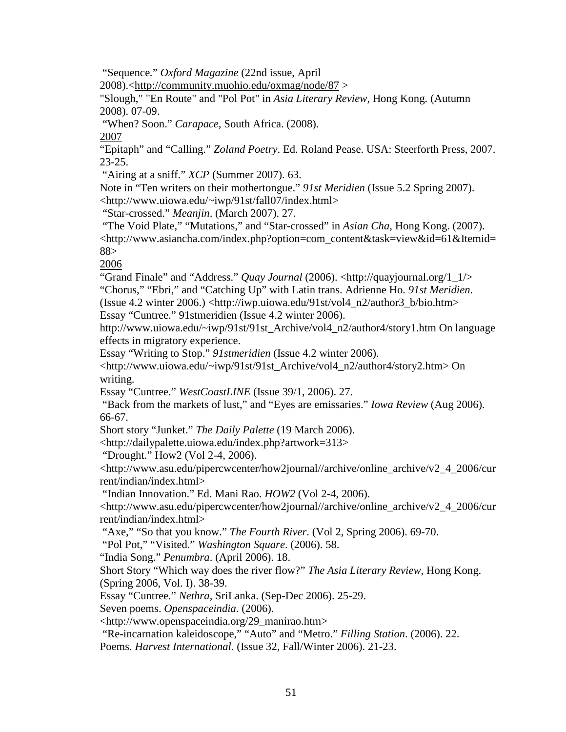"Sequence*.*" *Oxford Magazine* (22nd issue, April

2008).[<http://community.muohio.edu/oxmag/node/87](http://community.muohio.edu/oxmag/node/87) >

"Slough," "En Route" and "Pol Pot" in *Asia Literary Review*, Hong Kong. (Autumn 2008). 07-09.

"When? Soon." *Carapace*, South Africa. (2008).

2007

"Epitaph" and "Calling." *Zoland Poetry*. Ed. Roland Pease. USA: Steerforth Press, 2007. 23-25.

"Airing at a sniff." *XCP* (Summer 2007). 63.

Note in "Ten writers on their mothertongue." *91st Meridien* (Issue 5.2 Spring 2007). <http://www.uiowa.edu/~iwp/91st/fall07/index.html>

"Star-crossed." *Meanjin*. (March 2007). 27.

"The Void Plate," "Mutations," and "Star-crossed" in *Asian Cha*, Hong Kong. (2007). <http://www.asiancha.com/index.php?option=com\_content&task=view&id=61&Itemid= 88>

2006

"Grand Finale" and "Address." *Quay Journal* (2006). <http://quayjournal.org/1\_1/> "Chorus," "Ebri," and "Catching Up" with Latin trans. Adrienne Ho. *91st Meridien*. (Issue 4.2 winter 2006.) <http://iwp.uiowa.edu/91st/vol4\_n2/author3\_b/bio.htm> Essay "Cuntree." 91stmeridien (Issue 4.2 winter 2006).

http://www.uiowa.edu/~iwp/91st/91st\_Archive/vol4\_n2/author4/story1.htm On language effects in migratory experience.

Essay "Writing to Stop." *91stmeridien* (Issue 4.2 winter 2006).

<http://www.uiowa.edu/~iwp/91st/91st\_Archive/vol4\_n2/author4/story2.htm> On writing.

Essay "Cuntree." *WestCoastLINE* (Issue 39/1, 2006). 27.

"Back from the markets of lust," and "Eyes are emissaries." *Iowa Review* (Aug 2006). 66-67.

Short story "Junket." *The Daily Palette* (19 March 2006).

<http://dailypalette.uiowa.edu/index.php?artwork=313>

"Drought." How2 (Vol 2-4, 2006).

<http://www.asu.edu/pipercwcenter/how2journal//archive/online\_archive/v2\_4\_2006/cur rent/indian/index.html>

"Indian Innovation." Ed. Mani Rao. *HOW2* (Vol 2-4, 2006).

<http://www.asu.edu/pipercwcenter/how2journal//archive/online\_archive/v2\_4\_2006/cur rent/indian/index.html>

"Axe," "So that you know." *The Fourth River*. (Vol 2, Spring 2006). 69-70.

"Pol Pot," "Visited." *Washington Square*. (2006). 58.

"India Song." *Penumbra*. (April 2006). 18.

Short Story "Which way does the river flow?" *The Asia Literary Review*, Hong Kong. (Spring 2006, Vol. I). 38-39.

Essay "Cuntree." *Nethra*, SriLanka. (Sep-Dec 2006). 25-29.

Seven poems. *Openspaceindia*. (2006).

<http://www.openspaceindia.org/29\_manirao.htm>

"Re-incarnation kaleidoscope," "Auto" and "Metro." *Filling Station*. (2006). 22.

Poems. *Harvest International*. (Issue 32, Fall/Winter 2006). 21-23.